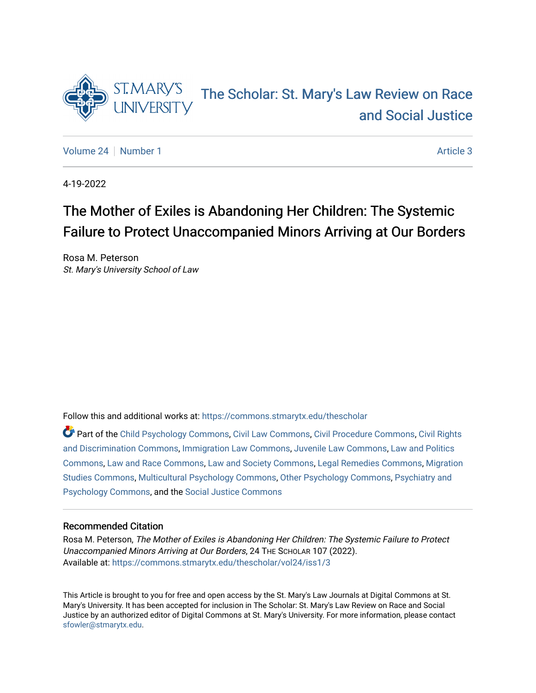

# [The Scholar: St. Mary's Law Review on Race](https://commons.stmarytx.edu/thescholar)  [and Social Justice](https://commons.stmarytx.edu/thescholar)

[Volume 24](https://commons.stmarytx.edu/thescholar/vol24) | [Number 1](https://commons.stmarytx.edu/thescholar/vol24/iss1) Article 3

4-19-2022

# The Mother of Exiles is Abandoning Her Children: The Systemic Failure to Protect Unaccompanied Minors Arriving at Our Borders

Rosa M. Peterson St. Mary's University School of Law

Follow this and additional works at: [https://commons.stmarytx.edu/thescholar](https://commons.stmarytx.edu/thescholar?utm_source=commons.stmarytx.edu%2Fthescholar%2Fvol24%2Fiss1%2F3&utm_medium=PDF&utm_campaign=PDFCoverPages) 

Part of the [Child Psychology Commons,](http://network.bepress.com/hgg/discipline/1023?utm_source=commons.stmarytx.edu%2Fthescholar%2Fvol24%2Fiss1%2F3&utm_medium=PDF&utm_campaign=PDFCoverPages) [Civil Law Commons](http://network.bepress.com/hgg/discipline/835?utm_source=commons.stmarytx.edu%2Fthescholar%2Fvol24%2Fiss1%2F3&utm_medium=PDF&utm_campaign=PDFCoverPages), [Civil Procedure Commons](http://network.bepress.com/hgg/discipline/584?utm_source=commons.stmarytx.edu%2Fthescholar%2Fvol24%2Fiss1%2F3&utm_medium=PDF&utm_campaign=PDFCoverPages), [Civil Rights](http://network.bepress.com/hgg/discipline/585?utm_source=commons.stmarytx.edu%2Fthescholar%2Fvol24%2Fiss1%2F3&utm_medium=PDF&utm_campaign=PDFCoverPages)  [and Discrimination Commons,](http://network.bepress.com/hgg/discipline/585?utm_source=commons.stmarytx.edu%2Fthescholar%2Fvol24%2Fiss1%2F3&utm_medium=PDF&utm_campaign=PDFCoverPages) [Immigration Law Commons,](http://network.bepress.com/hgg/discipline/604?utm_source=commons.stmarytx.edu%2Fthescholar%2Fvol24%2Fiss1%2F3&utm_medium=PDF&utm_campaign=PDFCoverPages) [Juvenile Law Commons](http://network.bepress.com/hgg/discipline/851?utm_source=commons.stmarytx.edu%2Fthescholar%2Fvol24%2Fiss1%2F3&utm_medium=PDF&utm_campaign=PDFCoverPages), [Law and Politics](http://network.bepress.com/hgg/discipline/867?utm_source=commons.stmarytx.edu%2Fthescholar%2Fvol24%2Fiss1%2F3&utm_medium=PDF&utm_campaign=PDFCoverPages) [Commons](http://network.bepress.com/hgg/discipline/867?utm_source=commons.stmarytx.edu%2Fthescholar%2Fvol24%2Fiss1%2F3&utm_medium=PDF&utm_campaign=PDFCoverPages), [Law and Race Commons](http://network.bepress.com/hgg/discipline/1300?utm_source=commons.stmarytx.edu%2Fthescholar%2Fvol24%2Fiss1%2F3&utm_medium=PDF&utm_campaign=PDFCoverPages), [Law and Society Commons,](http://network.bepress.com/hgg/discipline/853?utm_source=commons.stmarytx.edu%2Fthescholar%2Fvol24%2Fiss1%2F3&utm_medium=PDF&utm_campaign=PDFCoverPages) [Legal Remedies Commons](http://network.bepress.com/hgg/discipline/618?utm_source=commons.stmarytx.edu%2Fthescholar%2Fvol24%2Fiss1%2F3&utm_medium=PDF&utm_campaign=PDFCoverPages), [Migration](http://network.bepress.com/hgg/discipline/1394?utm_source=commons.stmarytx.edu%2Fthescholar%2Fvol24%2Fiss1%2F3&utm_medium=PDF&utm_campaign=PDFCoverPages) [Studies Commons,](http://network.bepress.com/hgg/discipline/1394?utm_source=commons.stmarytx.edu%2Fthescholar%2Fvol24%2Fiss1%2F3&utm_medium=PDF&utm_campaign=PDFCoverPages) [Multicultural Psychology Commons,](http://network.bepress.com/hgg/discipline/1237?utm_source=commons.stmarytx.edu%2Fthescholar%2Fvol24%2Fiss1%2F3&utm_medium=PDF&utm_campaign=PDFCoverPages) [Other Psychology Commons,](http://network.bepress.com/hgg/discipline/415?utm_source=commons.stmarytx.edu%2Fthescholar%2Fvol24%2Fiss1%2F3&utm_medium=PDF&utm_campaign=PDFCoverPages) [Psychiatry and](http://network.bepress.com/hgg/discipline/908?utm_source=commons.stmarytx.edu%2Fthescholar%2Fvol24%2Fiss1%2F3&utm_medium=PDF&utm_campaign=PDFCoverPages) [Psychology Commons,](http://network.bepress.com/hgg/discipline/908?utm_source=commons.stmarytx.edu%2Fthescholar%2Fvol24%2Fiss1%2F3&utm_medium=PDF&utm_campaign=PDFCoverPages) and the [Social Justice Commons](http://network.bepress.com/hgg/discipline/1432?utm_source=commons.stmarytx.edu%2Fthescholar%2Fvol24%2Fiss1%2F3&utm_medium=PDF&utm_campaign=PDFCoverPages)

# Recommended Citation

Rosa M. Peterson, The Mother of Exiles is Abandoning Her Children: The Systemic Failure to Protect Unaccompanied Minors Arriving at Our Borders, 24 THE SCHOLAR 107 (2022). Available at: [https://commons.stmarytx.edu/thescholar/vol24/iss1/3](https://commons.stmarytx.edu/thescholar/vol24/iss1/3?utm_source=commons.stmarytx.edu%2Fthescholar%2Fvol24%2Fiss1%2F3&utm_medium=PDF&utm_campaign=PDFCoverPages) 

This Article is brought to you for free and open access by the St. Mary's Law Journals at Digital Commons at St. Mary's University. It has been accepted for inclusion in The Scholar: St. Mary's Law Review on Race and Social Justice by an authorized editor of Digital Commons at St. Mary's University. For more information, please contact [sfowler@stmarytx.edu](mailto:sfowler@stmarytx.edu).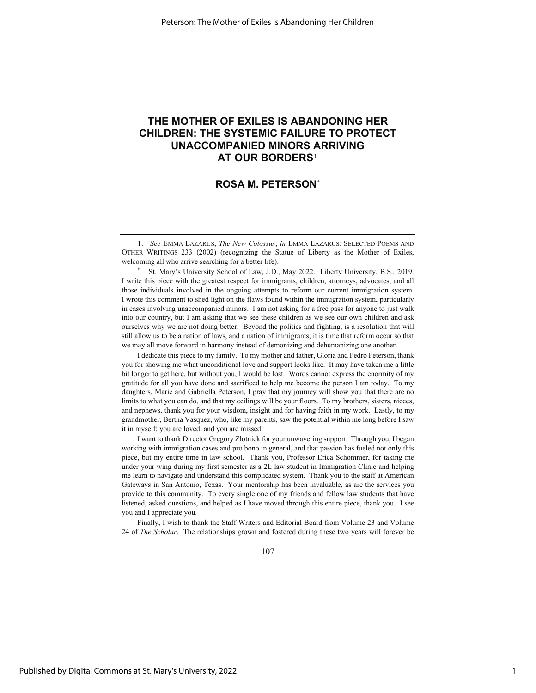# **THE MOTHER OF EXILES IS ABANDONING HER CHILDREN: THE SYSTEMIC FAILURE TO PROTECT UNACCOMPANIED MINORS ARRIVING AT OUR BORDERS**1

# **ROSA M. PETERSON\***

 St. Mary's University School of Law, J.D., May 2022. Liberty University, B.S., 2019. I write this piece with the greatest respect for immigrants, children, attorneys, advocates, and all those individuals involved in the ongoing attempts to reform our current immigration system. I wrote this comment to shed light on the flaws found within the immigration system, particularly in cases involving unaccompanied minors. I am not asking for a free pass for anyone to just walk into our country, but I am asking that we see these children as we see our own children and ask ourselves why we are not doing better. Beyond the politics and fighting, is a resolution that will still allow us to be a nation of laws, and a nation of immigrants; it is time that reform occur so that we may all move forward in harmony instead of demonizing and dehumanizing one another.

I dedicate this piece to my family. To my mother and father, Gloria and Pedro Peterson, thank you for showing me what unconditional love and support looks like. It may have taken me a little bit longer to get here, but without you, I would be lost. Words cannot express the enormity of my gratitude for all you have done and sacrificed to help me become the person I am today. To my daughters, Marie and Gabriella Peterson, I pray that my journey will show you that there are no limits to what you can do, and that my ceilings will be your floors. To my brothers, sisters, nieces, and nephews, thank you for your wisdom, insight and for having faith in my work. Lastly, to my grandmother, Bertha Vasquez, who, like my parents, saw the potential within me long before I saw it in myself; you are loved, and you are missed.

I want to thank Director Gregory Zlotnick for your unwavering support. Through you, I began working with immigration cases and pro bono in general, and that passion has fueled not only this piece, but my entire time in law school. Thank you, Professor Erica Schommer, for taking me under your wing during my first semester as a 2L law student in Immigration Clinic and helping me learn to navigate and understand this complicated system. Thank you to the staff at American Gateways in San Antonio, Texas. Your mentorship has been invaluable, as are the services you provide to this community. To every single one of my friends and fellow law students that have listened, asked questions, and helped as I have moved through this entire piece, thank you. I see you and I appreciate you.

Finally, I wish to thank the Staff Writers and Editorial Board from Volume 23 and Volume 24 of *The Scholar*. The relationships grown and fostered during these two years will forever be

107

<sup>1.</sup> *See* EMMA LAZARUS, *The New Colossus*, *in* EMMA LAZARUS: SELECTED POEMS AND OTHER WRITINGS 233 (2002) (recognizing the Statue of Liberty as the Mother of Exiles, welcoming all who arrive searching for a better life).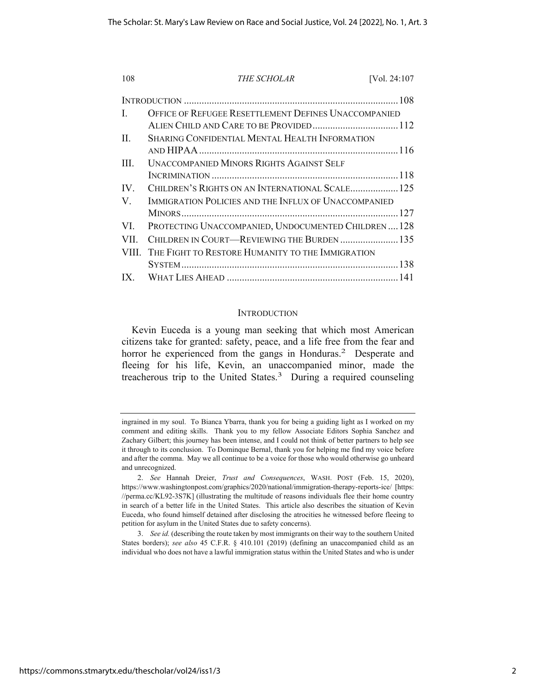| 108                     | THE SCHOLAR                                            | [Vol. 24:107 |
|-------------------------|--------------------------------------------------------|--------------|
|                         |                                                        |              |
| L                       | OFFICE OF REFUGEE RESETTLEMENT DEFINES UNACCOMPANIED   |              |
|                         |                                                        |              |
| П.                      | SHARING CONFIDENTIAL MENTAL HEALTH INFORMATION         |              |
|                         |                                                        |              |
| $\Pi$                   | <b>UNACCOMPANIED MINORS RIGHTS AGAINST SELF</b>        |              |
|                         |                                                        |              |
| $\mathbf{IV}_{-}$       |                                                        |              |
| V.                      | IMMIGRATION POLICIES AND THE INFLUX OF UNACCOMPANIED   |              |
|                         |                                                        |              |
| VL.                     | PROTECTING UNACCOMPANIED, UNDOCUMENTED CHILDREN128     |              |
| VII.                    | CHILDREN IN COURT-REVIEWING THE BURDEN  135            |              |
|                         | VIII. THE FIGHT TO RESTORE HUMANITY TO THE IMMIGRATION |              |
|                         |                                                        |              |
| $\mathbf{I} \mathbf{X}$ |                                                        |              |

# **INTRODUCTION**

Kevin Euceda is a young man seeking that which most American citizens take for granted: safety, peace, and a life free from the fear and horror he experienced from the gangs in Honduras.<sup>2</sup> Desperate and fleeing for his life, Kevin, an unaccompanied minor, made the treacherous trip to the United States.<sup>3</sup> During a required counseling

ingrained in my soul. To Bianca Ybarra, thank you for being a guiding light as I worked on my comment and editing skills. Thank you to my fellow Associate Editors Sophia Sanchez and Zachary Gilbert; this journey has been intense, and I could not think of better partners to help see it through to its conclusion. To Dominque Bernal, thank you for helping me find my voice before and after the comma. May we all continue to be a voice for those who would otherwise go unheard and unrecognized.

<sup>2.</sup> *See* Hannah Dreier, *Trust and Consequences*, WASH. POST (Feb. 15, 2020), https://www.washingtonpost.com/graphics/2020/national/immigration-therapy-reports-ice/ [https: //perma.cc/KL92-3S7K] (illustrating the multitude of reasons individuals flee their home country in search of a better life in the United States. This article also describes the situation of Kevin Euceda, who found himself detained after disclosing the atrocities he witnessed before fleeing to petition for asylum in the United States due to safety concerns).

<sup>3.</sup> *See id.* (describing the route taken by most immigrants on their way to the southern United States borders); *see also* 45 C.F.R. § 410.101 (2019) (defining an unaccompanied child as an individual who does not have a lawful immigration status within the United States and who is under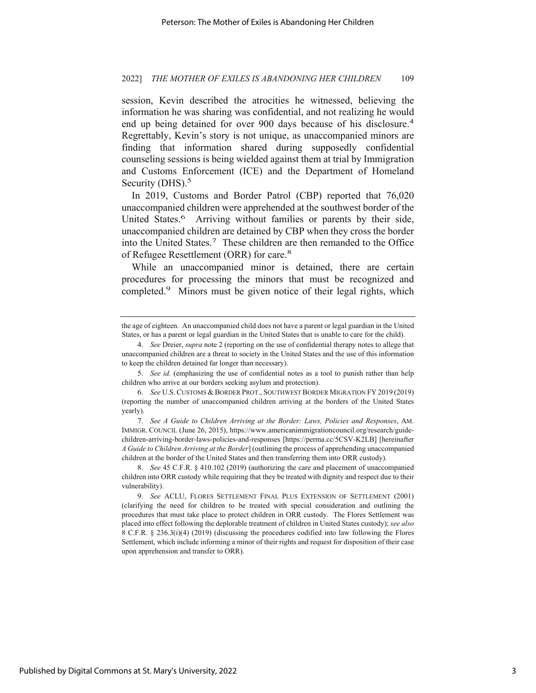session, Kevin described the atrocities he witnessed, believing the information he was sharing was confidential, and not realizing he would end up being detained for over 900 days because of his disclosure.<sup>4</sup> Regrettably, Kevin's story is not unique, as unaccompanied minors are finding that information shared during supposedly confidential counseling sessions is being wielded against them at trial by Immigration and Customs Enforcement (ICE) and the Department of Homeland Security (DHS).<sup>5</sup>

In 2019, Customs and Border Patrol (CBP) reported that 76,020 unaccompanied children were apprehended at the southwest border of the United States.<sup>6</sup> Arriving without families or parents by their side, unaccompanied children are detained by CBP when they cross the border into the United States.7 These children are then remanded to the Office of Refugee Resettlement (ORR) for care.<sup>8</sup>

While an unaccompanied minor is detained, there are certain procedures for processing the minors that must be recognized and completed.<sup>9</sup> Minors must be given notice of their legal rights, which

the age of eighteen. An unaccompanied child does not have a parent or legal guardian in the United States, or has a parent or legal guardian in the United States that is unable to care for the child).

<sup>4.</sup> *See* Dreier, *supra* note 2 (reporting on the use of confidential therapy notes to allege that unaccompanied children are a threat to society in the United States and the use of this information to keep the children detained far longer than necessary).

<sup>5.</sup> *See id.* (emphasizing the use of confidential notes as a tool to punish rather than help children who arrive at our borders seeking asylum and protection).

<sup>6.</sup> *See* U.S.CUSTOMS & BORDER PROT., SOUTHWEST BORDER MIGRATION FY 2019 (2019) (reporting the number of unaccompanied children arriving at the borders of the United States yearly).

<sup>7.</sup> *See A Guide to Children Arriving at the Border: Laws, Policies and Responses*, AM. IMMIGR. COUNCIL (June 26, 2015), https://www.americanimmigrationcouncil.org/research/guidechildren-arriving-border-laws-policies-and-responses [https://perma.cc/5CSV-K2LB] [hereinafter *A Guide to Children Arriving at the Border*] (outlining the process of apprehending unaccompanied children at the border of the United States and then transferring them into ORR custody).

<sup>8.</sup> *See* 45 C.F.R. § 410.102 (2019) (authorizing the care and placement of unaccompanied children into ORR custody while requiring that they be treated with dignity and respect due to their vulnerability).

<sup>9.</sup> *See* ACLU, FLORES SETTLEMENT FINAL PLUS EXTENSION OF SETTLEMENT (2001) (clarifying the need for children to be treated with special consideration and outlining the procedures that must take place to protect children in ORR custody. The Flores Settlement was placed into effect following the deplorable treatment of children in United States custody); *see also* 8 C.F.R. § 236.3(i)(4) (2019) (discussing the procedures codified into law following the Flores Settlement, which include informing a minor of their rights and request for disposition of their case upon apprehension and transfer to ORR).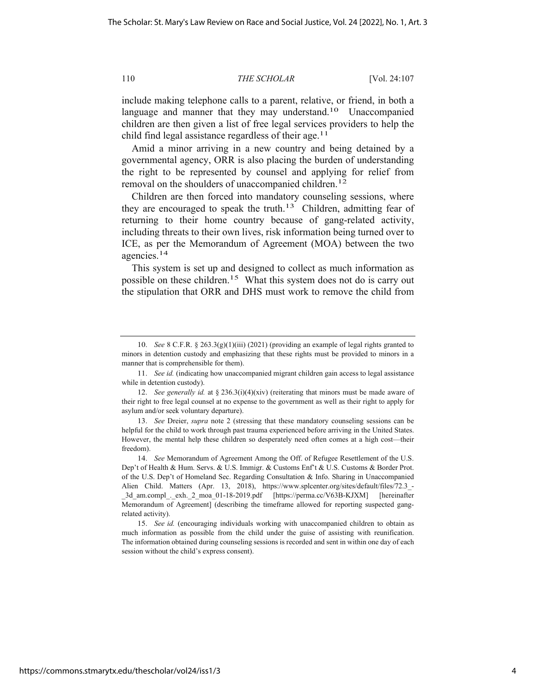include making telephone calls to a parent, relative, or friend, in both a language and manner that they may understand.<sup>10</sup> Unaccompanied children are then given a list of free legal services providers to help the child find legal assistance regardless of their age.<sup>11</sup>

Amid a minor arriving in a new country and being detained by a governmental agency, ORR is also placing the burden of understanding the right to be represented by counsel and applying for relief from removal on the shoulders of unaccompanied children.<sup>12</sup>

Children are then forced into mandatory counseling sessions, where they are encouraged to speak the truth.<sup>13</sup> Children, admitting fear of returning to their home country because of gang-related activity, including threats to their own lives, risk information being turned over to ICE, as per the Memorandum of Agreement (MOA) between the two agencies.14

This system is set up and designed to collect as much information as possible on these children.15 What this system does not do is carry out the stipulation that ORR and DHS must work to remove the child from

<sup>10.</sup> *See* 8 C.F.R. § 263.3(g)(1)(iii) (2021) (providing an example of legal rights granted to minors in detention custody and emphasizing that these rights must be provided to minors in a manner that is comprehensible for them).

<sup>11.</sup> *See id.* (indicating how unaccompanied migrant children gain access to legal assistance while in detention custody).

<sup>12.</sup> *See generally id.* at  $\S 236.3(i)(4)(xiv)$  (reiterating that minors must be made aware of their right to free legal counsel at no expense to the government as well as their right to apply for asylum and/or seek voluntary departure).

<sup>13.</sup> *See* Dreier, *supra* note 2 (stressing that these mandatory counseling sessions can be helpful for the child to work through past trauma experienced before arriving in the United States. However, the mental help these children so desperately need often comes at a high cost—their freedom).

<sup>14.</sup> *See* Memorandum of Agreement Among the Off. of Refugee Resettlement of the U.S. Dep't of Health & Hum. Servs. & U.S. Immigr. & Customs Enf't & U.S. Customs & Border Prot. of the U.S. Dep't of Homeland Sec. Regarding Consultation & Info. Sharing in Unaccompanied Alien Child. Matters (Apr. 13, 2018), https://www.splcenter.org/sites/default/files/72.3\_- \_3d\_am.compl\_.\_exh.\_2\_moa\_01-18-2019.pdf [https://perma.cc/V63B-KJXM] [hereinafter Memorandum of Agreement] (describing the timeframe allowed for reporting suspected gangrelated activity).

<sup>15.</sup> *See id.* (encouraging individuals working with unaccompanied children to obtain as much information as possible from the child under the guise of assisting with reunification. The information obtained during counseling sessions is recorded and sent in within one day of each session without the child's express consent).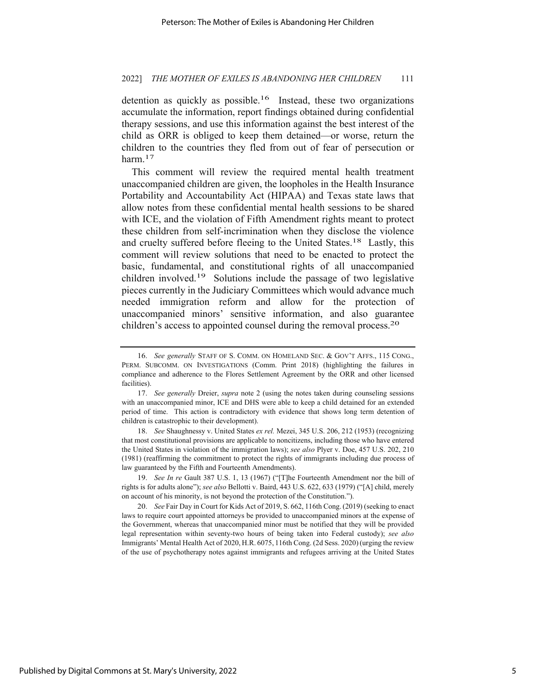detention as quickly as possible.<sup>16</sup> Instead, these two organizations accumulate the information, report findings obtained during confidential therapy sessions, and use this information against the best interest of the child as ORR is obliged to keep them detained—or worse, return the children to the countries they fled from out of fear of persecution or harm.<sup>17</sup>

This comment will review the required mental health treatment unaccompanied children are given, the loopholes in the Health Insurance Portability and Accountability Act (HIPAA) and Texas state laws that allow notes from these confidential mental health sessions to be shared with ICE, and the violation of Fifth Amendment rights meant to protect these children from self-incrimination when they disclose the violence and cruelty suffered before fleeing to the United States.18 Lastly, this comment will review solutions that need to be enacted to protect the basic, fundamental, and constitutional rights of all unaccompanied children involved.19 Solutions include the passage of two legislative pieces currently in the Judiciary Committees which would advance much needed immigration reform and allow for the protection of unaccompanied minors' sensitive information, and also guarantee children's access to appointed counsel during the removal process.20

18. *See* Shaughnessy v. United States *ex rel.* Mezei, 345 U.S. 206, 212 (1953) (recognizing that most constitutional provisions are applicable to noncitizens, including those who have entered the United States in violation of the immigration laws); *see also* Plyer v. Doe, 457 U.S. 202, 210 (1981) (reaffirming the commitment to protect the rights of immigrants including due process of law guaranteed by the Fifth and Fourteenth Amendments).

19. *See In re* Gault 387 U.S. 1, 13 (1967) ("[T]he Fourteenth Amendment nor the bill of rights is for adults alone"); *see also* Bellotti v. Baird, 443 U.S. 622, 633 (1979) ("[A] child, merely on account of his minority, is not beyond the protection of the Constitution.").

20. *See* Fair Day in Court for Kids Act of 2019, S. 662, 116th Cong. (2019) (seeking to enact laws to require court appointed attorneys be provided to unaccompanied minors at the expense of the Government, whereas that unaccompanied minor must be notified that they will be provided legal representation within seventy-two hours of being taken into Federal custody); *see also* Immigrants' Mental Health Act of 2020, H.R. 6075, 116th Cong. (2d Sess. 2020)(urging the review of the use of psychotherapy notes against immigrants and refugees arriving at the United States

<sup>16.</sup> *See generally* STAFF OF S. COMM. ON HOMELAND SEC. & GOV'T AFFS., 115 CONG., PERM. SUBCOMM. ON INVESTIGATIONS (Comm. Print 2018) (highlighting the failures in compliance and adherence to the Flores Settlement Agreement by the ORR and other licensed facilities).

<sup>17.</sup> *See generally* Dreier, *supra* note 2 (using the notes taken during counseling sessions with an unaccompanied minor, ICE and DHS were able to keep a child detained for an extended period of time. This action is contradictory with evidence that shows long term detention of children is catastrophic to their development).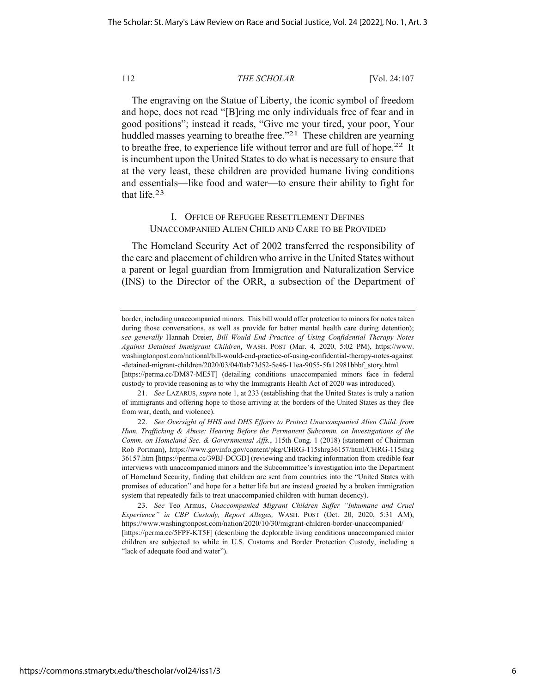The engraving on the Statue of Liberty, the iconic symbol of freedom and hope, does not read "[B]ring me only individuals free of fear and in good positions"; instead it reads, "Give me your tired, your poor, Your huddled masses yearning to breathe free."<sup>21</sup> These children are yearning to breathe free, to experience life without terror and are full of hope.<sup>22</sup> It is incumbent upon the United States to do what is necessary to ensure that at the very least, these children are provided humane living conditions and essentials—like food and water—to ensure their ability to fight for that life.23

# I. OFFICE OF REFUGEE RESETTLEMENT DEFINES UNACCOMPANIED ALIEN CHILD AND CARE TO BE PROVIDED

The Homeland Security Act of 2002 transferred the responsibility of the care and placement of children who arrive in the United States without a parent or legal guardian from Immigration and Naturalization Service (INS) to the Director of the ORR, a subsection of the Department of

23. *See* Teo Armus, *Unaccompanied Migrant Children Suffer "Inhumane and Cruel Experience" in CBP Custody, Report Alleges,* WASH. POST (Oct. 20, 2020, 5:31 AM), https://www.washingtonpost.com/nation/2020/10/30/migrant-children-border-unaccompanied/ [https://perma.cc/5FPF-KT5F] (describing the deplorable living conditions unaccompanied minor children are subjected to while in U.S. Customs and Border Protection Custody, including a "lack of adequate food and water").

border, including unaccompanied minors. This bill would offer protection to minors for notes taken during those conversations, as well as provide for better mental health care during detention); *see generally* Hannah Dreier, *Bill Would End Practice of Using Confidential Therapy Notes Against Detained Immigrant Children*, WASH. POST (Mar. 4, 2020, 5:02 PM), https://www. washingtonpost.com/national/bill-would-end-practice-of-using-confidential-therapy-notes-against -detained-migrant-children/2020/03/04/0ab73d52-5e46-11ea-9055-5fa12981bbbf\_story.html [https://perma.cc/DM87-ME5T] (detailing conditions unaccompanied minors face in federal custody to provide reasoning as to why the Immigrants Health Act of 2020 was introduced).

<sup>21.</sup> *See* LAZARUS, *supra* note 1, at 233 (establishing that the United States is truly a nation of immigrants and offering hope to those arriving at the borders of the United States as they flee from war, death, and violence).

<sup>22.</sup> *See Oversight of HHS and DHS Efforts to Protect Unaccompanied Alien Child. from Hum. Trafficking & Abuse: Hearing Before the Permanent Subcomm. on Investigations of the Comm. on Homeland Sec. & Governmental Affs.*, 115th Cong. 1 (2018) (statement of Chairman Rob Portman), https://www.govinfo.gov/content/pkg/CHRG-115shrg36157/html/CHRG-115shrg 36157.htm [https://perma.cc/39BJ-DCGD] (reviewing and tracking information from credible fear interviews with unaccompanied minors and the Subcommittee's investigation into the Department of Homeland Security, finding that children are sent from countries into the "United States with promises of education" and hope for a better life but are instead greeted by a broken immigration system that repeatedly fails to treat unaccompanied children with human decency).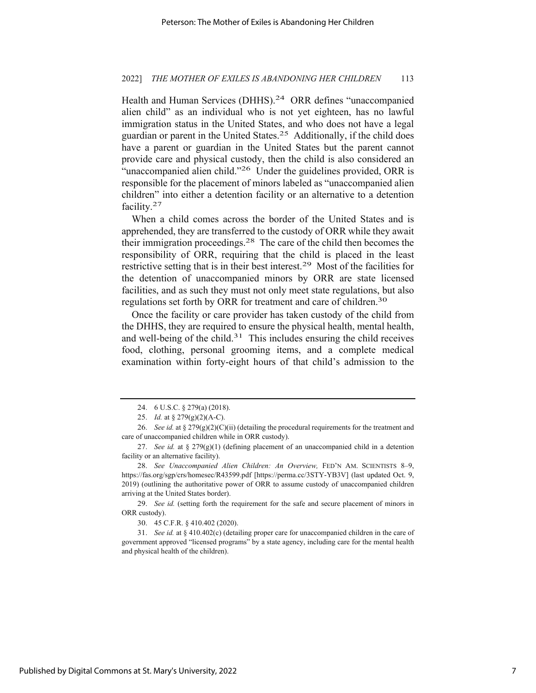#### 2022] *THE MOTHER OF EXILES IS ABANDONING HER CHILDREN* 113

Health and Human Services (DHHS).<sup>24</sup> ORR defines "unaccompanied alien child" as an individual who is not yet eighteen, has no lawful immigration status in the United States, and who does not have a legal guardian or parent in the United States.25 Additionally, if the child does have a parent or guardian in the United States but the parent cannot provide care and physical custody, then the child is also considered an "unaccompanied alien child."<sup>26</sup> Under the guidelines provided, ORR is responsible for the placement of minors labeled as "unaccompanied alien children" into either a detention facility or an alternative to a detention facility.27

When a child comes across the border of the United States and is apprehended, they are transferred to the custody of ORR while they await their immigration proceedings.28 The care of the child then becomes the responsibility of ORR, requiring that the child is placed in the least restrictive setting that is in their best interest.29 Most of the facilities for the detention of unaccompanied minors by ORR are state licensed facilities, and as such they must not only meet state regulations, but also regulations set forth by ORR for treatment and care of children.<sup>30</sup>

Once the facility or care provider has taken custody of the child from the DHHS, they are required to ensure the physical health, mental health, and well-being of the child. $31$  This includes ensuring the child receives food, clothing, personal grooming items, and a complete medical examination within forty-eight hours of that child's admission to the

30. 45 C.F.R. § 410.402 (2020).

<sup>24. 6</sup> U.S.C. § 279(a) (2018).

<sup>25.</sup> *Id.* at § 279(g)(2)(A-C).

<sup>26.</sup> *See id.* at § 279(g)(2)(C)(ii) (detailing the procedural requirements for the treatment and care of unaccompanied children while in ORR custody).

<sup>27.</sup> *See id.* at § 279(g)(1) (defining placement of an unaccompanied child in a detention facility or an alternative facility).

<sup>28.</sup> *See Unaccompanied Alien Children: An Overview,* FED'N AM. SCIENTISTS 8–9, https://fas.org/sgp/crs/homesec/R43599.pdf [https://perma.cc/3STY-YB3V] (last updated Oct. 9, 2019) (outlining the authoritative power of ORR to assume custody of unaccompanied children arriving at the United States border).

<sup>29.</sup> *See id.* (setting forth the requirement for the safe and secure placement of minors in ORR custody).

<sup>31.</sup> *See id.* at § 410.402(c) (detailing proper care for unaccompanied children in the care of government approved "licensed programs" by a state agency, including care for the mental health and physical health of the children).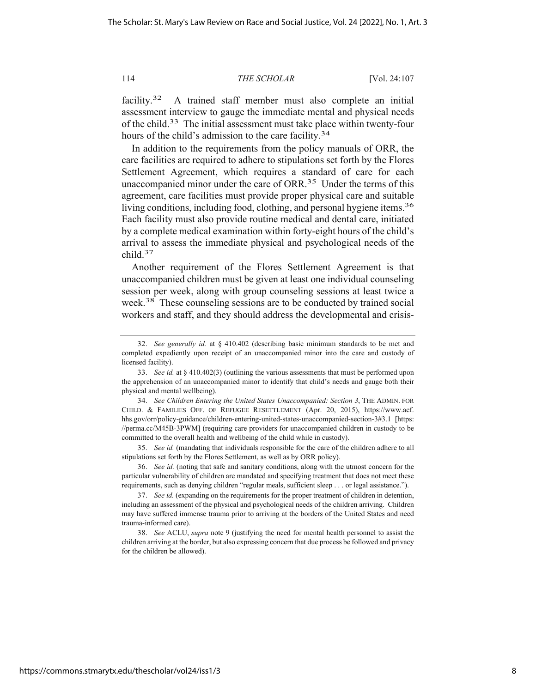facility.<sup>32</sup> A trained staff member must also complete an initial assessment interview to gauge the immediate mental and physical needs of the child.33 The initial assessment must take place within twenty-four hours of the child's admission to the care facility.<sup>34</sup>

In addition to the requirements from the policy manuals of ORR, the care facilities are required to adhere to stipulations set forth by the Flores Settlement Agreement, which requires a standard of care for each unaccompanied minor under the care of ORR.35 Under the terms of this agreement, care facilities must provide proper physical care and suitable living conditions, including food, clothing, and personal hygiene items.<sup>36</sup> Each facility must also provide routine medical and dental care, initiated by a complete medical examination within forty-eight hours of the child's arrival to assess the immediate physical and psychological needs of the child.37

Another requirement of the Flores Settlement Agreement is that unaccompanied children must be given at least one individual counseling session per week, along with group counseling sessions at least twice a week.38 These counseling sessions are to be conducted by trained social workers and staff, and they should address the developmental and crisis-

35. *See id.* (mandating that individuals responsible for the care of the children adhere to all stipulations set forth by the Flores Settlement, as well as by ORR policy).

<sup>32.</sup> *See generally id.* at § 410.402 (describing basic minimum standards to be met and completed expediently upon receipt of an unaccompanied minor into the care and custody of licensed facility).

<sup>33.</sup> *See id.* at § 410.402(3) (outlining the various assessments that must be performed upon the apprehension of an unaccompanied minor to identify that child's needs and gauge both their physical and mental wellbeing).

<sup>34.</sup> *See Children Entering the United States Unaccompanied: Section 3*, THE ADMIN. FOR CHILD. & FAMILIES OFF. OF REFUGEE RESETTLEMENT (Apr. 20, 2015), https://www.acf. hhs.gov/orr/policy-guidance/children-entering-united-states-unaccompanied-section-3#3.1 [https: //perma.cc/M45B-3PWM] (requiring care providers for unaccompanied children in custody to be committed to the overall health and wellbeing of the child while in custody).

<sup>36.</sup> *See id.* (noting that safe and sanitary conditions, along with the utmost concern for the particular vulnerability of children are mandated and specifying treatment that does not meet these requirements, such as denying children "regular meals, sufficient sleep . . . or legal assistance.").

<sup>37.</sup> *See id.* (expanding on the requirements for the proper treatment of children in detention, including an assessment of the physical and psychological needs of the children arriving. Children may have suffered immense trauma prior to arriving at the borders of the United States and need trauma-informed care).

<sup>38.</sup> *See* ACLU, *supra* note 9 (justifying the need for mental health personnel to assist the children arriving at the border, but also expressing concern that due process be followed and privacy for the children be allowed).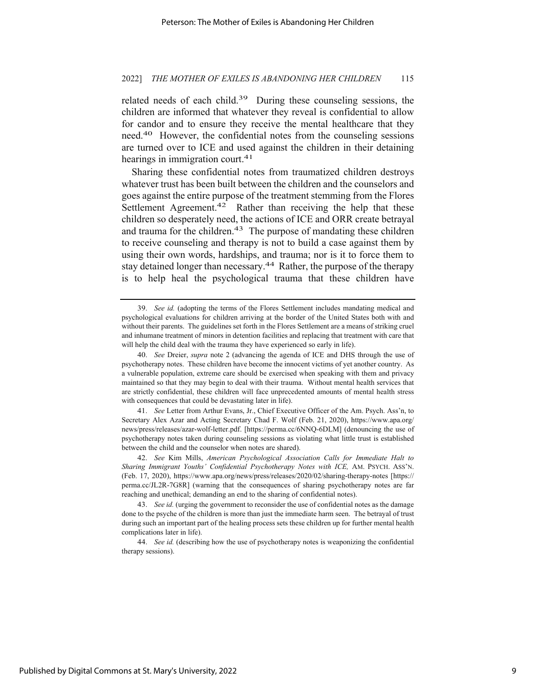related needs of each child.<sup>39</sup> During these counseling sessions, the children are informed that whatever they reveal is confidential to allow for candor and to ensure they receive the mental healthcare that they need.40 However, the confidential notes from the counseling sessions are turned over to ICE and used against the children in their detaining hearings in immigration court.<sup>41</sup>

Sharing these confidential notes from traumatized children destroys whatever trust has been built between the children and the counselors and goes against the entire purpose of the treatment stemming from the Flores Settlement Agreement.<sup>42</sup> Rather than receiving the help that these children so desperately need, the actions of ICE and ORR create betrayal and trauma for the children.<sup>43</sup> The purpose of mandating these children to receive counseling and therapy is not to build a case against them by using their own words, hardships, and trauma; nor is it to force them to stay detained longer than necessary.<sup>44</sup> Rather, the purpose of the therapy is to help heal the psychological trauma that these children have

41. *See* Letter from Arthur Evans, Jr., Chief Executive Officer of the Am. Psych. Ass'n, to Secretary Alex Azar and Acting Secretary Chad F. Wolf (Feb. 21, 2020), https://www.apa.org/ news/press/releases/azar-wolf-letter.pdf. [https://perma.cc/6NNQ-6DLM] (denouncing the use of psychotherapy notes taken during counseling sessions as violating what little trust is established between the child and the counselor when notes are shared).

<sup>39.</sup> *See id.* (adopting the terms of the Flores Settlement includes mandating medical and psychological evaluations for children arriving at the border of the United States both with and without their parents. The guidelines set forth in the Flores Settlement are a means of striking cruel and inhumane treatment of minors in detention facilities and replacing that treatment with care that will help the child deal with the trauma they have experienced so early in life).

<sup>40.</sup> *See* Dreier, *supra* note 2 (advancing the agenda of ICE and DHS through the use of psychotherapy notes. These children have become the innocent victims of yet another country. As a vulnerable population, extreme care should be exercised when speaking with them and privacy maintained so that they may begin to deal with their trauma. Without mental health services that are strictly confidential, these children will face unprecedented amounts of mental health stress with consequences that could be devastating later in life).

<sup>42.</sup> *See* Kim Mills, *American Psychological Association Calls for Immediate Halt to Sharing Immigrant Youths' Confidential Psychotherapy Notes with ICE, AM. PSYCH. ASS'N.* (Feb. 17, 2020), https://www.apa.org/news/press/releases/2020/02/sharing-therapy-notes [https:// perma.cc/JL2R-7G8R] (warning that the consequences of sharing psychotherapy notes are far reaching and unethical; demanding an end to the sharing of confidential notes).

<sup>43.</sup> *See id.* (urging the government to reconsider the use of confidential notes as the damage done to the psyche of the children is more than just the immediate harm seen. The betrayal of trust during such an important part of the healing process sets these children up for further mental health complications later in life).

<sup>44.</sup> *See id.* (describing how the use of psychotherapy notes is weaponizing the confidential therapy sessions).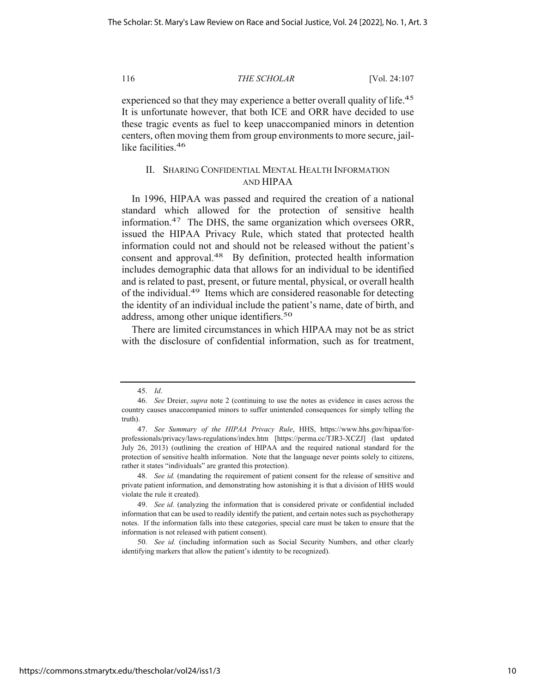experienced so that they may experience a better overall quality of life.<sup>45</sup> It is unfortunate however, that both ICE and ORR have decided to use these tragic events as fuel to keep unaccompanied minors in detention centers, often moving them from group environments to more secure, jaillike facilities.<sup>46</sup>

# II. SHARING CONFIDENTIAL MENTAL HEALTH INFORMATION AND HIPAA

In 1996, HIPAA was passed and required the creation of a national standard which allowed for the protection of sensitive health information.47 The DHS, the same organization which oversees ORR, issued the HIPAA Privacy Rule, which stated that protected health information could not and should not be released without the patient's consent and approval.<sup>48</sup> By definition, protected health information includes demographic data that allows for an individual to be identified and is related to past, present, or future mental, physical, or overall health of the individual.49 Items which are considered reasonable for detecting the identity of an individual include the patient's name, date of birth, and address, among other unique identifiers.<sup>50</sup>

There are limited circumstances in which HIPAA may not be as strict with the disclosure of confidential information, such as for treatment,

50. *See id.* (including information such as Social Security Numbers, and other clearly identifying markers that allow the patient's identity to be recognized).

<sup>45.</sup> *Id*.

<sup>46.</sup> *See* Dreier, *supra* note 2 (continuing to use the notes as evidence in cases across the country causes unaccompanied minors to suffer unintended consequences for simply telling the truth).

<sup>47.</sup> *See Summary of the HIPAA Privacy Rule*, HHS, https://www.hhs.gov/hipaa/forprofessionals/privacy/laws-regulations/index.htm [https://perma.cc/TJR3-XCZJ] (last updated July 26, 2013) (outlining the creation of HIPAA and the required national standard for the protection of sensitive health information. Note that the language never points solely to citizens, rather it states "individuals" are granted this protection).

<sup>48.</sup> *See id.* (mandating the requirement of patient consent for the release of sensitive and private patient information, and demonstrating how astonishing it is that a division of HHS would violate the rule it created).

<sup>49.</sup> *See id.* (analyzing the information that is considered private or confidential included information that can be used to readily identify the patient, and certain notes such as psychotherapy notes. If the information falls into these categories, special care must be taken to ensure that the information is not released with patient consent).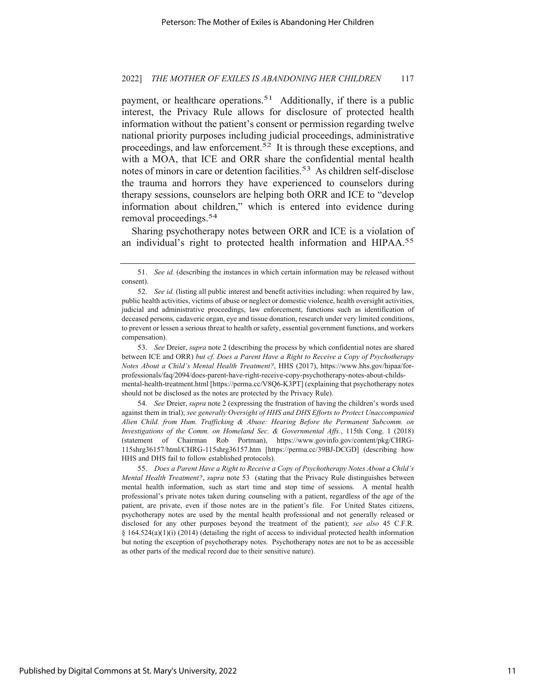#### 2022] *THE MOTHER OF EXILES IS ABANDONING HER CHILDREN* 117

payment, or healthcare operations.<sup>51</sup> Additionally, if there is a public interest, the Privacy Rule allows for disclosure of protected health information without the patient's consent or permission regarding twelve national priority purposes including judicial proceedings, administrative proceedings, and law enforcement.<sup>52</sup> It is through these exceptions, and with a MOA, that ICE and ORR share the confidential mental health notes of minors in care or detention facilities.<sup>53</sup> As children self-disclose the trauma and horrors they have experienced to counselors during therapy sessions, counselors are helping both ORR and ICE to "develop information about children," which is entered into evidence during removal proceedings.54

Sharing psychotherapy notes between ORR and ICE is a violation of an individual's right to protected health information and HIPAA.55

53. *See* Dreier, *supra* note 2 (describing the process by which confidential notes are shared between ICE and ORR) *but cf. Does a Parent Have a Right to Receive a Copy of Psychotherapy Notes About a Child's Mental Health Treatment?*, HHS (2017), https://www.hhs.gov/hipaa/forprofessionals/faq/2094/does-parent-have-right-receive-copy-psychotherapy-notes-about-childsmental-health-treatment.html [https://perma.cc/V8Q6-K3PT] (explaining that psychotherapy notes should not be disclosed as the notes are protected by the Privacy Rule).

54. *See* Dreier, *supra* note 2 (expressing the frustration of having the children's words used against them in trial); *see generally Oversight of HHS and DHS Efforts to Protect Unaccompanied Alien Child. from Hum. Trafficking & Abuse: Hearing Before the Permanent Subcomm. on Investigations of the Comm. on Homeland Sec. & Governmental Affs.*, 115th Cong. 1 (2018) (statement of Chairman Rob Portman), https://www.govinfo.gov/content/pkg/CHRG-115shrg36157/html/CHRG-115shrg36157.htm [https://perma.cc/39BJ-DCGD] (describing how HHS and DHS fail to follow established protocols).

55. *Does a Parent Have a Right to Receive a Copy of Psychotherapy Notes About a Child's Mental Health Treatment?*, *supra* note 53 (stating that the Privacy Rule distinguishes between mental health information, such as start time and stop time of sessions. A mental health professional's private notes taken during counseling with a patient, regardless of the age of the patient, are private, even if those notes are in the patient's file. For United States citizens, psychotherapy notes are used by the mental health professional and not generally released or disclosed for any other purposes beyond the treatment of the patient); *see also* 45 C.F.R.  $§$  164.524(a)(1)(i) (2014) (detailing the right of access to individual protected health information but noting the exception of psychotherapy notes. Psychotherapy notes are not to be as accessible as other parts of the medical record due to their sensitive nature).

<sup>51.</sup> *See id.* (describing the instances in which certain information may be released without consent).

<sup>52.</sup> *See id.* (listing all public interest and benefit activities including: when required by law, public health activities, victims of abuse or neglect or domestic violence, health oversight activities, judicial and administrative proceedings, law enforcement, functions such as identification of deceased persons, cadaveric organ, eye and tissue donation, research under very limited conditions, to prevent or lessen a serious threat to health or safety, essential government functions, and workers compensation).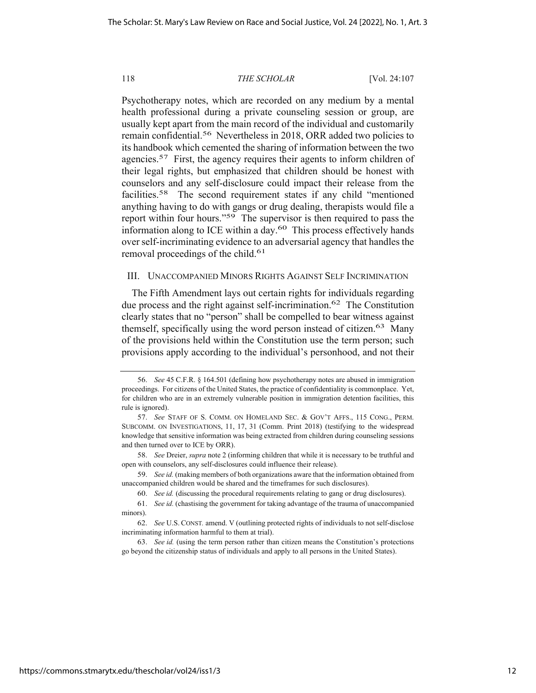Psychotherapy notes, which are recorded on any medium by a mental health professional during a private counseling session or group, are usually kept apart from the main record of the individual and customarily remain confidential.56 Nevertheless in 2018, ORR added two policies to its handbook which cemented the sharing of information between the two agencies.<sup>57</sup> First, the agency requires their agents to inform children of their legal rights, but emphasized that children should be honest with counselors and any self-disclosure could impact their release from the facilities.58 The second requirement states if any child "mentioned anything having to do with gangs or drug dealing, therapists would file a report within four hours."59 The supervisor is then required to pass the information along to ICE within a day.<sup>60</sup> This process effectively hands over self-incriminating evidence to an adversarial agency that handles the removal proceedings of the child.<sup>61</sup>

## III. UNACCOMPANIED MINORS RIGHTS AGAINST SELF INCRIMINATION

The Fifth Amendment lays out certain rights for individuals regarding due process and the right against self-incrimination.62 The Constitution clearly states that no "person" shall be compelled to bear witness against themself, specifically using the word person instead of citizen.<sup>63</sup> Many of the provisions held within the Constitution use the term person; such provisions apply according to the individual's personhood, and not their

<sup>56.</sup> *See* 45 C.F.R. § 164.501 (defining how psychotherapy notes are abused in immigration proceedings. For citizens of the United States, the practice of confidentiality is commonplace. Yet, for children who are in an extremely vulnerable position in immigration detention facilities, this rule is ignored).

<sup>57.</sup> *See* STAFF OF S. COMM. ON HOMELAND SEC. & GOV'T AFFS., 115 CONG., PERM. SUBCOMM. ON INVESTIGATIONS, 11, 17, 31 (Comm. Print 2018) (testifying to the widespread knowledge that sensitive information was being extracted from children during counseling sessions and then turned over to ICE by ORR).

<sup>58.</sup> *See* Dreier, *supra* note 2 (informing children that while it is necessary to be truthful and open with counselors, any self-disclosures could influence their release).

<sup>59.</sup> *See id.* (making members of both organizations aware that the information obtained from unaccompanied children would be shared and the timeframes for such disclosures).

<sup>60.</sup> *See id.* (discussing the procedural requirements relating to gang or drug disclosures).

<sup>61.</sup> *See id.* (chastising the government for taking advantage of the trauma of unaccompanied minors).

<sup>62.</sup> *See* U.S. CONST*.* amend. V (outlining protected rights of individuals to not self-disclose incriminating information harmful to them at trial).

<sup>63.</sup> *See id.* (using the term person rather than citizen means the Constitution's protections go beyond the citizenship status of individuals and apply to all persons in the United States).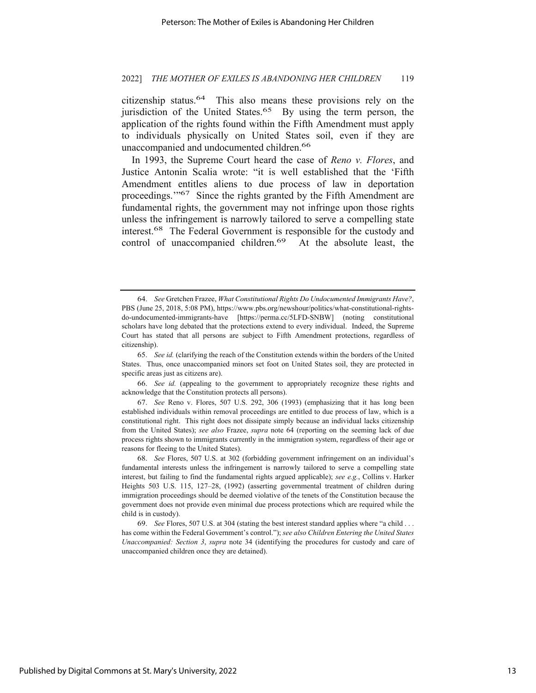citizenship status.64 This also means these provisions rely on the jurisdiction of the United States.<sup>65</sup> By using the term person, the application of the rights found within the Fifth Amendment must apply to individuals physically on United States soil, even if they are unaccompanied and undocumented children.<sup>66</sup>

In 1993, the Supreme Court heard the case of *Reno v. Flores*, and Justice Antonin Scalia wrote: "it is well established that the 'Fifth Amendment entitles aliens to due process of law in deportation proceedings.'"67 Since the rights granted by the Fifth Amendment are fundamental rights, the government may not infringe upon those rights unless the infringement is narrowly tailored to serve a compelling state interest.68 The Federal Government is responsible for the custody and control of unaccompanied children.<sup>69</sup> At the absolute least, the

66. *See id.* (appealing to the government to appropriately recognize these rights and acknowledge that the Constitution protects all persons).

67. *See* Reno v. Flores, 507 U.S. 292, 306 (1993) (emphasizing that it has long been established individuals within removal proceedings are entitled to due process of law, which is a constitutional right. This right does not dissipate simply because an individual lacks citizenship from the United States); *see also* Frazee, *supra* note 64 (reporting on the seeming lack of due process rights shown to immigrants currently in the immigration system, regardless of their age or reasons for fleeing to the United States).

68. *See* Flores, 507 U.S. at 302 (forbidding government infringement on an individual's fundamental interests unless the infringement is narrowly tailored to serve a compelling state interest, but failing to find the fundamental rights argued applicable); *see e.g.*, Collins v. Harker Heights 503 U.S. 115, 127–28, (1992) (asserting governmental treatment of children during immigration proceedings should be deemed violative of the tenets of the Constitution because the government does not provide even minimal due process protections which are required while the child is in custody).

69. *See* Flores, 507 U.S. at 304 (stating the best interest standard applies where "a child . . . has come within the Federal Government's control."); *see also Children Entering the United States Unaccompanied: Section 3*, *supra* note 34 (identifying the procedures for custody and care of unaccompanied children once they are detained).

<sup>64.</sup> *See* Gretchen Frazee, *What Constitutional Rights Do Undocumented Immigrants Have?*, PBS (June 25, 2018, 5:08 PM), https://www.pbs.org/newshour/politics/what-constitutional-rightsdo-undocumented-immigrants-have [https://perma.cc/5LFD-SNBW] (noting constitutional scholars have long debated that the protections extend to every individual. Indeed, the Supreme Court has stated that all persons are subject to Fifth Amendment protections, regardless of citizenship).

<sup>65.</sup> *See id.* (clarifying the reach of the Constitution extends within the borders of the United States. Thus, once unaccompanied minors set foot on United States soil, they are protected in specific areas just as citizens are).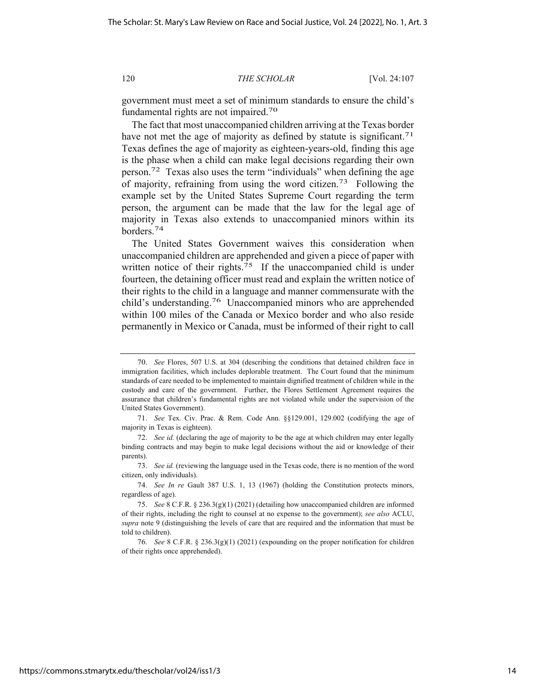government must meet a set of minimum standards to ensure the child's fundamental rights are not impaired.70

The fact that most unaccompanied children arriving at the Texas border have not met the age of majority as defined by statute is significant.<sup>71</sup> Texas defines the age of majority as eighteen-years-old, finding this age is the phase when a child can make legal decisions regarding their own person.72 Texas also uses the term "individuals" when defining the age of majority, refraining from using the word citizen.73 Following the example set by the United States Supreme Court regarding the term person, the argument can be made that the law for the legal age of majority in Texas also extends to unaccompanied minors within its borders.74

The United States Government waives this consideration when unaccompanied children are apprehended and given a piece of paper with written notice of their rights.<sup>75</sup> If the unaccompanied child is under fourteen, the detaining officer must read and explain the written notice of their rights to the child in a language and manner commensurate with the child's understanding.76 Unaccompanied minors who are apprehended within 100 miles of the Canada or Mexico border and who also reside permanently in Mexico or Canada, must be informed of their right to call

73. *See id.* (reviewing the language used in the Texas code, there is no mention of the word citizen, only individuals).

74. *See In re* Gault 387 U.S. 1, 13 (1967) (holding the Constitution protects minors, regardless of age).

76. *See* 8 C.F.R. § 236.3(g)(1) (2021) (expounding on the proper notification for children of their rights once apprehended).

<sup>70.</sup> *See* Flores, 507 U.S. at 304 (describing the conditions that detained children face in immigration facilities, which includes deplorable treatment. The Court found that the minimum standards of care needed to be implemented to maintain dignified treatment of children while in the custody and care of the government. Further, the Flores Settlement Agreement requires the assurance that children's fundamental rights are not violated while under the supervision of the United States Government).

<sup>71.</sup> *See* Tex. Civ. Prac. & Rem. Code Ann. §§129.001, 129.002 (codifying the age of majority in Texas is eighteen).

<sup>72.</sup> *See id.* (declaring the age of majority to be the age at which children may enter legally binding contracts and may begin to make legal decisions without the aid or knowledge of their parents).

<sup>75.</sup> *See* 8 C.F.R. § 236.3(g)(1) (2021) (detailing how unaccompanied children are informed of their rights, including the right to counsel at no expense to the government); *see also* ACLU, *supra* note 9 (distinguishing the levels of care that are required and the information that must be told to children).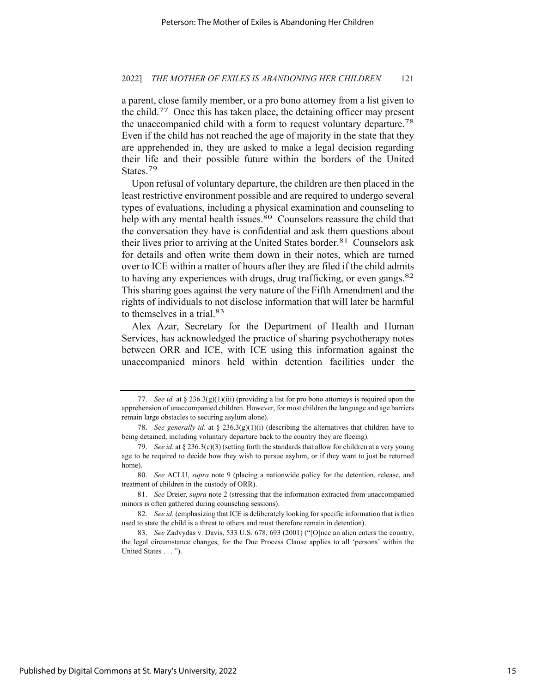a parent, close family member, or a pro bono attorney from a list given to the child.77 Once this has taken place, the detaining officer may present the unaccompanied child with a form to request voluntary departure.<sup>78</sup> Even if the child has not reached the age of majority in the state that they are apprehended in, they are asked to make a legal decision regarding their life and their possible future within the borders of the United States.79

Upon refusal of voluntary departure, the children are then placed in the least restrictive environment possible and are required to undergo several types of evaluations, including a physical examination and counseling to help with any mental health issues.<sup>80</sup> Counselors reassure the child that the conversation they have is confidential and ask them questions about their lives prior to arriving at the United States border.<sup>81</sup> Counselors ask for details and often write them down in their notes, which are turned over to ICE within a matter of hours after they are filed if the child admits to having any experiences with drugs, drug trafficking, or even gangs.82 This sharing goes against the very nature of the Fifth Amendment and the rights of individuals to not disclose information that will later be harmful to themselves in a trial.83

Alex Azar, Secretary for the Department of Health and Human Services, has acknowledged the practice of sharing psychotherapy notes between ORR and ICE, with ICE using this information against the unaccompanied minors held within detention facilities under the

<sup>77.</sup> *See id.* at § 236.3(g)(1)(iii) (providing a list for pro bono attorneys is required upon the apprehension of unaccompanied children. However, for most children the language and age barriers remain large obstacles to securing asylum alone).

<sup>78.</sup> *See generally id.* at § 236.3(g)(1)(i) (describing the alternatives that children have to being detained, including voluntary departure back to the country they are fleeing).

<sup>79.</sup> *See id.* at § 236.3(c)(3) (setting forth the standards that allow for children at a very young age to be required to decide how they wish to pursue asylum, or if they want to just be returned home).

<sup>80.</sup> *See* ACLU, *supra* note 9 (placing a nationwide policy for the detention, release, and treatment of children in the custody of ORR).

<sup>81.</sup> *See* Dreier, *supra* note 2 (stressing that the information extracted from unaccompanied minors is often gathered during counseling sessions).

<sup>82.</sup> *See id.* (emphasizing that ICE is deliberately looking for specific information that is then used to state the child is a threat to others and must therefore remain in detention).

<sup>83.</sup> *See* Zadvydas v. Davis, 533 U.S. 678, 693 (2001) ("[O]nce an alien enters the country, the legal circumstance changes, for the Due Process Clause applies to all 'persons' within the United States . . . ").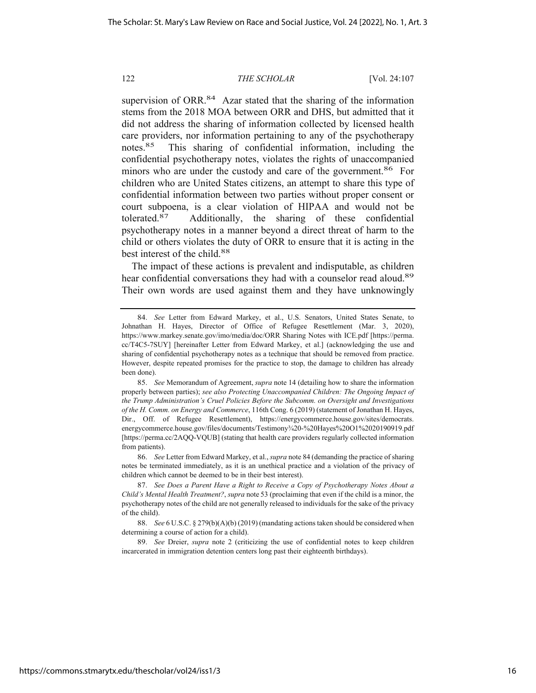supervision of ORR.<sup>84</sup> Azar stated that the sharing of the information stems from the 2018 MOA between ORR and DHS, but admitted that it did not address the sharing of information collected by licensed health care providers, nor information pertaining to any of the psychotherapy notes.85 This sharing of confidential information, including the confidential psychotherapy notes, violates the rights of unaccompanied minors who are under the custody and care of the government.<sup>86</sup> For children who are United States citizens, an attempt to share this type of confidential information between two parties without proper consent or court subpoena, is a clear violation of HIPAA and would not be tolerated.87 Additionally, the sharing of these confidential psychotherapy notes in a manner beyond a direct threat of harm to the child or others violates the duty of ORR to ensure that it is acting in the best interest of the child.<sup>88</sup>

The impact of these actions is prevalent and indisputable, as children hear confidential conversations they had with a counselor read aloud.<sup>89</sup> Their own words are used against them and they have unknowingly

<sup>84.</sup> *See* Letter from Edward Markey, et al., U.S. Senators, United States Senate, to Johnathan H. Hayes, Director of Office of Refugee Resettlement (Mar. 3, 2020), https://www.markey.senate.gov/imo/media/doc/ORR Sharing Notes with ICE.pdf [https://perma. cc/T4C5-7SUY] [hereinafter Letter from Edward Markey, et al.] (acknowledging the use and sharing of confidential psychotherapy notes as a technique that should be removed from practice. However, despite repeated promises for the practice to stop, the damage to children has already been done).

<sup>85.</sup> *See* Memorandum of Agreement, *supra* note 14 (detailing how to share the information properly between parties); *see also Protecting Unaccompanied Children: The Ongoing Impact of the Trump Administration's Cruel Policies Before the Subcomm. on Oversight and Investigations of the H. Comm. on Energy and Commerce*, 116th Cong. 6 (2019) (statement of Jonathan H. Hayes, Dir., Off. of Refugee Resettlement), https://energycommerce.house.gov/sites/democrats. energycommerce.house.gov/files/documents/Testimony¾20-%20Hayes%20O1%2020190919.pdf [https://perma.cc/2AQQ-VQUB] (stating that health care providers regularly collected information from patients).

<sup>86.</sup> *See* Letter from Edward Markey, et al., *supra* note 84 (demanding the practice of sharing notes be terminated immediately, as it is an unethical practice and a violation of the privacy of children which cannot be deemed to be in their best interest).

<sup>87.</sup> *See Does a Parent Have a Right to Receive a Copy of Psychotherapy Notes About a Child's Mental Health Treatment?*, *supra* note 53 (proclaiming that even if the child is a minor, the psychotherapy notes of the child are not generally released to individuals for the sake of the privacy of the child).

<sup>88.</sup> *See* 6 U.S.C. § 279(b)(A)(b) (2019) (mandating actions taken should be considered when determining a course of action for a child).

<sup>89.</sup> *See* Dreier, *supra* note 2 (criticizing the use of confidential notes to keep children incarcerated in immigration detention centers long past their eighteenth birthdays).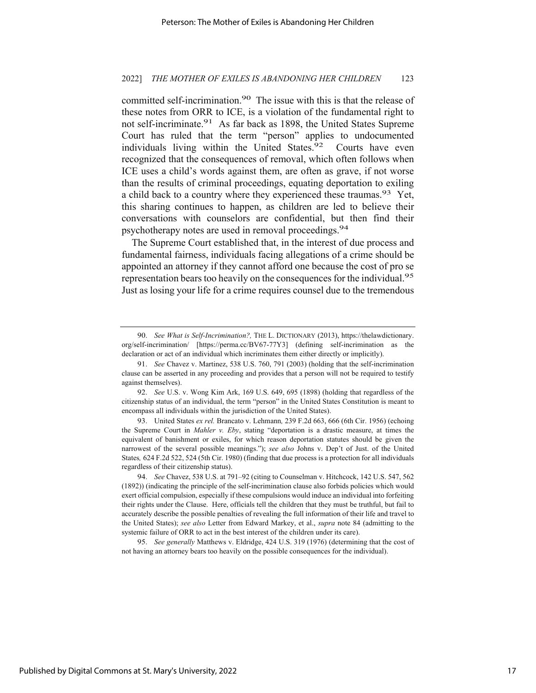committed self-incrimination.<sup>90</sup> The issue with this is that the release of these notes from ORR to ICE, is a violation of the fundamental right to not self-incriminate.<sup>91</sup> As far back as 1898, the United States Supreme Court has ruled that the term "person" applies to undocumented individuals living within the United States. $92$  Courts have even recognized that the consequences of removal, which often follows when ICE uses a child's words against them, are often as grave, if not worse than the results of criminal proceedings, equating deportation to exiling a child back to a country where they experienced these traumas.<sup>93</sup> Yet, this sharing continues to happen, as children are led to believe their conversations with counselors are confidential, but then find their psychotherapy notes are used in removal proceedings.<sup>94</sup>

The Supreme Court established that, in the interest of due process and fundamental fairness, individuals facing allegations of a crime should be appointed an attorney if they cannot afford one because the cost of pro se representation bears too heavily on the consequences for the individual.<sup>95</sup> Just as losing your life for a crime requires counsel due to the tremendous

93. United States *ex rel.* Brancato v. Lehmann*,* 239 F.2d 663, 666 (6th Cir. 1956) (echoing the Supreme Court in *Mahler v. Eby*, stating "deportation is a drastic measure, at times the equivalent of banishment or exiles, for which reason deportation statutes should be given the narrowest of the several possible meanings."); *see also* Johns v. Dep't of Just. of the United States*,* 624 F.2d 522, 524 (5th Cir. 1980) (finding that due process is a protection for all individuals regardless of their citizenship status).

95. *See generally* Matthews v. Eldridge, 424 U.S. 319 (1976) (determining that the cost of not having an attorney bears too heavily on the possible consequences for the individual).

<sup>90.</sup> *See What is Self-Incrimination?,* THE L. DICTIONARY (2013), https://thelawdictionary. org/self-incrimination/ [https://perma.cc/BV67-77Y3] (defining self-incrimination as the declaration or act of an individual which incriminates them either directly or implicitly).

<sup>91.</sup> *See* Chavez v. Martinez, 538 U.S. 760, 791 (2003) (holding that the self-incrimination clause can be asserted in any proceeding and provides that a person will not be required to testify against themselves).

<sup>92.</sup> *See* U.S. v. Wong Kim Ark, 169 U.S. 649, 695 (1898) (holding that regardless of the citizenship status of an individual, the term "person" in the United States Constitution is meant to encompass all individuals within the jurisdiction of the United States).

<sup>94.</sup> *See* Chavez, 538 U.S. at 791–92 (citing to Counselman v. Hitchcock, 142 U.S. 547, 562 (1892)) (indicating the principle of the self-incrimination clause also forbids policies which would exert official compulsion, especially if these compulsions would induce an individual into forfeiting their rights under the Clause. Here, officials tell the children that they must be truthful, but fail to accurately describe the possible penalties of revealing the full information of their life and travel to the United States); *see also* Letter from Edward Markey, et al., *supra* note 84 (admitting to the systemic failure of ORR to act in the best interest of the children under its care).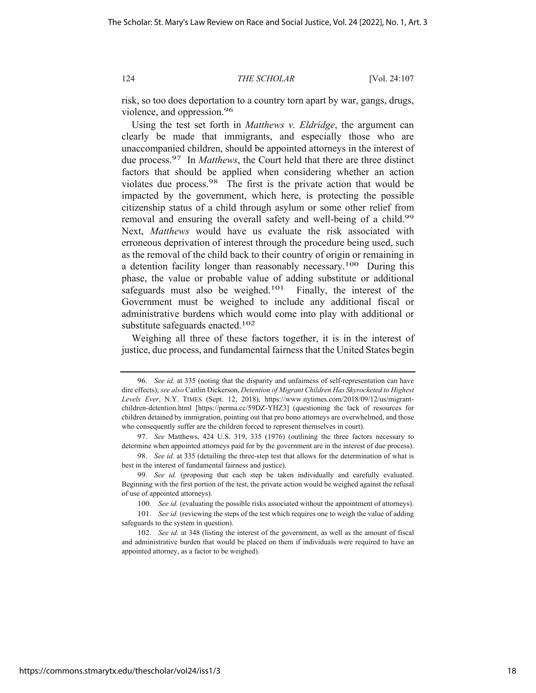risk, so too does deportation to a country torn apart by war, gangs, drugs, violence, and oppression.96

Using the test set forth in *Matthews v. Eldridge*, the argument can clearly be made that immigrants, and especially those who are unaccompanied children, should be appointed attorneys in the interest of due process.97 In *Matthews*, the Court held that there are three distinct factors that should be applied when considering whether an action violates due process.98 The first is the private action that would be impacted by the government, which here, is protecting the possible citizenship status of a child through asylum or some other relief from removal and ensuring the overall safety and well-being of a child.<sup>99</sup> Next, *Matthews* would have us evaluate the risk associated with erroneous deprivation of interest through the procedure being used, such as the removal of the child back to their country of origin or remaining in a detention facility longer than reasonably necessary.100 During this phase, the value or probable value of adding substitute or additional safeguards must also be weighed.<sup>101</sup> Finally, the interest of the Government must be weighed to include any additional fiscal or administrative burdens which would come into play with additional or substitute safeguards enacted.<sup>102</sup>

Weighing all three of these factors together, it is in the interest of justice, due process, and fundamental fairness that the United States begin

<sup>96.</sup> *See id.* at 335 (noting that the disparity and unfairness of self-representation can have dire effects); *see also* Caitlin Dickerson, *Detention of Migrant Children Has Skyrocketed to Highest Levels Ever*, N.Y. TIMES (Sept. 12, 2018), https://www.nytimes.com/2018/09/12/us/migrantchildren-detention.html [https://perma.cc/59DZ-YHZ3] (questioning the lack of resources for children detained by immigration, pointing out that pro bono attorneys are overwhelmed, and those who consequently suffer are the children forced to represent themselves in court).

<sup>97.</sup> *See* Matthews, 424 U.S. 319, 335 (1976) (outlining the three factors necessary to determine when appointed attorneys paid for by the government are in the interest of due process).

<sup>98.</sup> *See id.* at 335 (detailing the three-step test that allows for the determination of what is best in the interest of fundamental fairness and justice).

<sup>99.</sup> *See id.* (proposing that each step be taken individually and carefully evaluated. Beginning with the first portion of the test, the private action would be weighed against the refusal of use of appointed attorneys).

<sup>100.</sup> *See id.* (evaluating the possible risks associated without the appointment of attorneys).

<sup>101.</sup> *See id.* (reviewing the steps of the test which requires one to weigh the value of adding safeguards to the system in question).

<sup>102.</sup> *See id.* at 348 (listing the interest of the government, as well as the amount of fiscal and administrative burden that would be placed on them if individuals were required to have an appointed attorney, as a factor to be weighed).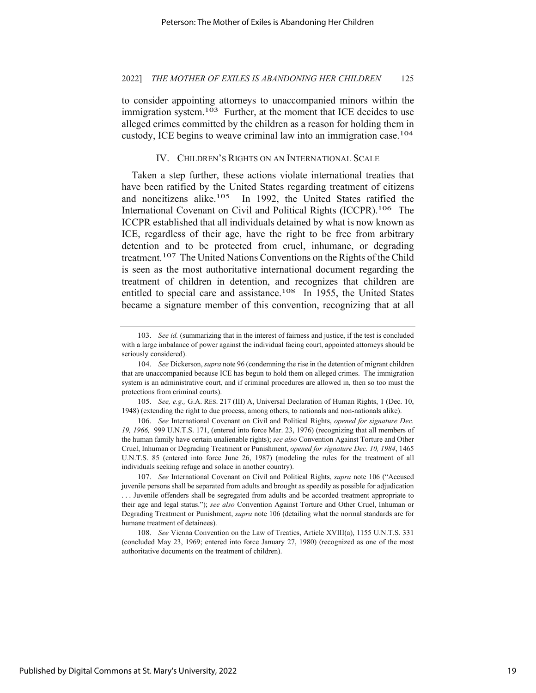to consider appointing attorneys to unaccompanied minors within the immigration system.<sup>103</sup> Further, at the moment that ICE decides to use alleged crimes committed by the children as a reason for holding them in custody, ICE begins to weave criminal law into an immigration case.104

## IV. CHILDREN'S RIGHTS ON AN INTERNATIONAL SCALE

Taken a step further, these actions violate international treaties that have been ratified by the United States regarding treatment of citizens and noncitizens alike.<sup>105</sup> In 1992, the United States ratified the International Covenant on Civil and Political Rights (ICCPR).106 The ICCPR established that all individuals detained by what is now known as ICE, regardless of their age, have the right to be free from arbitrary detention and to be protected from cruel, inhumane, or degrading treatment.107 The United Nations Conventions on the Rights of the Child is seen as the most authoritative international document regarding the treatment of children in detention, and recognizes that children are entitled to special care and assistance.<sup>108</sup> In 1955, the United States became a signature member of this convention, recognizing that at all

<sup>103.</sup> *See id.* (summarizing that in the interest of fairness and justice, if the test is concluded with a large imbalance of power against the individual facing court, appointed attorneys should be seriously considered).

<sup>104.</sup> *See* Dickerson, *supra* note 96 (condemning the rise in the detention of migrant children that are unaccompanied because ICE has begun to hold them on alleged crimes. The immigration system is an administrative court, and if criminal procedures are allowed in, then so too must the protections from criminal courts).

<sup>105.</sup> *See, e.g.,* G.A. RES. 217 (III) A, Universal Declaration of Human Rights, 1 (Dec. 10, 1948) (extending the right to due process, among others, to nationals and non-nationals alike).

<sup>106.</sup> *See* International Covenant on Civil and Political Rights, *opened for signature Dec. 19, 1966,* 999 U.N.T.S. 171, (entered into force Mar. 23, 1976) (recognizing that all members of the human family have certain unalienable rights); *see also* Convention Against Torture and Other Cruel, Inhuman or Degrading Treatment or Punishment, *opened for signature Dec. 10, 1984*, 1465 U.N.T.S. 85 (entered into force June 26, 1987) (modeling the rules for the treatment of all individuals seeking refuge and solace in another country).

<sup>107.</sup> *See* International Covenant on Civil and Political Rights, *supra* note 106 ("Accused juvenile persons shall be separated from adults and brought as speedily as possible for adjudication . . . Juvenile offenders shall be segregated from adults and be accorded treatment appropriate to their age and legal status."); *see also* Convention Against Torture and Other Cruel, Inhuman or Degrading Treatment or Punishment, *supra* note 106 (detailing what the normal standards are for humane treatment of detainees).

<sup>108.</sup> *See* Vienna Convention on the Law of Treaties, Article XVIII(a), 1155 U.N.T.S. 331 (concluded May 23, 1969; entered into force January 27, 1980) (recognized as one of the most authoritative documents on the treatment of children).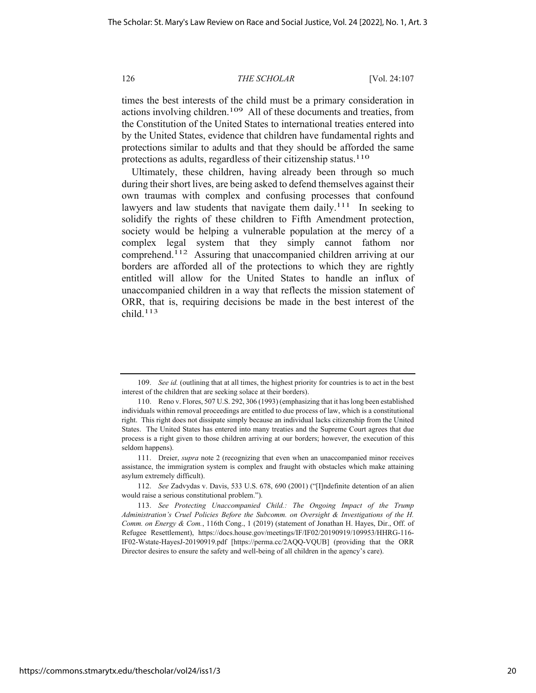times the best interests of the child must be a primary consideration in actions involving children.109 All of these documents and treaties, from the Constitution of the United States to international treaties entered into by the United States, evidence that children have fundamental rights and protections similar to adults and that they should be afforded the same protections as adults, regardless of their citizenship status.<sup>110</sup>

Ultimately, these children, having already been through so much during their short lives, are being asked to defend themselves against their own traumas with complex and confusing processes that confound lawyers and law students that navigate them daily.<sup>111</sup> In seeking to solidify the rights of these children to Fifth Amendment protection, society would be helping a vulnerable population at the mercy of a complex legal system that they simply cannot fathom nor comprehend.112 Assuring that unaccompanied children arriving at our borders are afforded all of the protections to which they are rightly entitled will allow for the United States to handle an influx of unaccompanied children in a way that reflects the mission statement of ORR, that is, requiring decisions be made in the best interest of the child.113

112. *See* Zadvydas v. Davis, 533 U.S. 678, 690 (2001) ("[I]ndefinite detention of an alien would raise a serious constitutional problem.").

<sup>109.</sup> *See id.* (outlining that at all times, the highest priority for countries is to act in the best interest of the children that are seeking solace at their borders).

<sup>110.</sup> Reno v. Flores, 507 U.S. 292, 306 (1993) (emphasizing that it has long been established individuals within removal proceedings are entitled to due process of law, which is a constitutional right. This right does not dissipate simply because an individual lacks citizenship from the United States. The United States has entered into many treaties and the Supreme Court agrees that due process is a right given to those children arriving at our borders; however, the execution of this seldom happens).

<sup>111.</sup> Dreier, *supra* note 2 (recognizing that even when an unaccompanied minor receives assistance, the immigration system is complex and fraught with obstacles which make attaining asylum extremely difficult).

<sup>113.</sup> *See Protecting Unaccompanied Child.: The Ongoing Impact of the Trump Administration's Cruel Policies Before the Subcomm. on Oversight & Investigations of the H. Comm. on Energy & Com.*, 116th Cong., 1 (2019) (statement of Jonathan H. Hayes, Dir., Off. of Refugee Resettlement), https://docs.house.gov/meetings/IF/IF02/20190919/109953/HHRG-116- IF02-Wstate-HayesJ-20190919.pdf [https://perma.cc/2AQQ-VQUB] (providing that the ORR Director desires to ensure the safety and well-being of all children in the agency's care).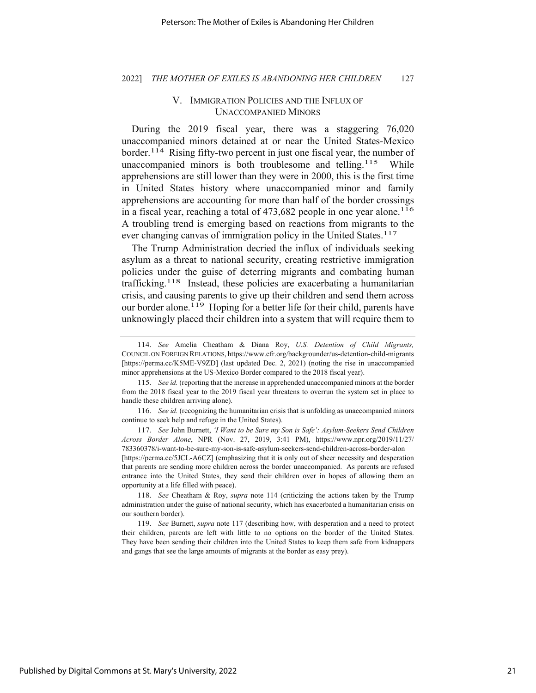#### 2022] *THE MOTHER OF EXILES IS ABANDONING HER CHILDREN* 127

# V. IMMIGRATION POLICIES AND THE INFLUX OF UNACCOMPANIED MINORS

During the 2019 fiscal year, there was a staggering 76,020 unaccompanied minors detained at or near the United States-Mexico border.<sup>114</sup> Rising fifty-two percent in just one fiscal year, the number of unaccompanied minors is both troublesome and telling.<sup>115</sup> While apprehensions are still lower than they were in 2000, this is the first time in United States history where unaccompanied minor and family apprehensions are accounting for more than half of the border crossings in a fiscal year, reaching a total of  $473,682$  people in one year alone.<sup>116</sup> A troubling trend is emerging based on reactions from migrants to the ever changing canvas of immigration policy in the United States.<sup>117</sup>

The Trump Administration decried the influx of individuals seeking asylum as a threat to national security, creating restrictive immigration policies under the guise of deterring migrants and combating human trafficking.118 Instead, these policies are exacerbating a humanitarian crisis, and causing parents to give up their children and send them across our border alone.<sup>119</sup> Hoping for a better life for their child, parents have unknowingly placed their children into a system that will require them to

<sup>114.</sup> *See* Amelia Cheatham & Diana Roy, *U.S. Detention of Child Migrants,*  COUNCIL ON FOREIGN RELATIONS, https://www.cfr.org/backgrounder/us-detention-child-migrants [https://perma.cc/K5ME-V9ZD] (last updated Dec. 2, 2021) (noting the rise in unaccompanied minor apprehensions at the US-Mexico Border compared to the 2018 fiscal year).

<sup>115.</sup> *See id.* (reporting that the increase in apprehended unaccompanied minors at the border from the 2018 fiscal year to the 2019 fiscal year threatens to overrun the system set in place to handle these children arriving alone).

<sup>116.</sup> *See id.* (recognizing the humanitarian crisis that is unfolding as unaccompanied minors continue to seek help and refuge in the United States).

<sup>117.</sup> *See* John Burnett, *'I Want to be Sure my Son is Safe': Asylum-Seekers Send Children Across Border Alone*, NPR (Nov. 27, 2019, 3:41 PM), https://www.npr.org/2019/11/27/ 783360378/i-want-to-be-sure-my-son-is-safe-asylum-seekers-send-children-across-border-alon [https://perma.cc/5JCL-A6CZ] (emphasizing that it is only out of sheer necessity and desperation that parents are sending more children across the border unaccompanied. As parents are refused entrance into the United States, they send their children over in hopes of allowing them an opportunity at a life filled with peace).

<sup>118.</sup> *See* Cheatham & Roy, *supra* note 114 (criticizing the actions taken by the Trump administration under the guise of national security, which has exacerbated a humanitarian crisis on our southern border).

<sup>119.</sup> *See* Burnett, *supra* note 117 (describing how, with desperation and a need to protect their children, parents are left with little to no options on the border of the United States. They have been sending their children into the United States to keep them safe from kidnappers and gangs that see the large amounts of migrants at the border as easy prey).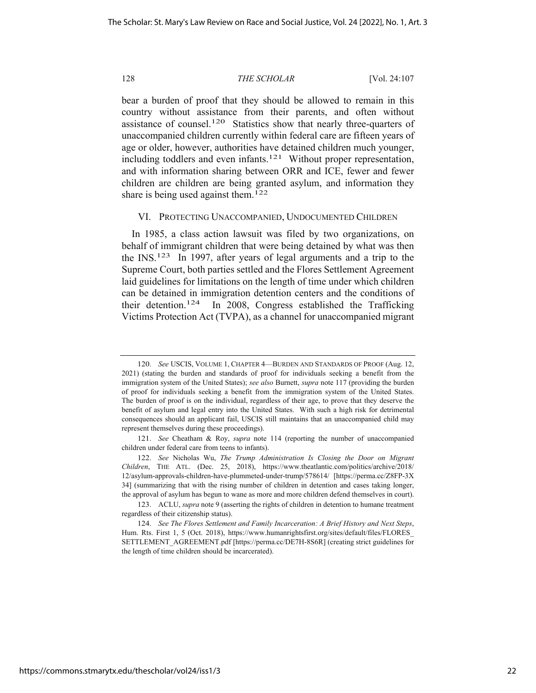bear a burden of proof that they should be allowed to remain in this country without assistance from their parents, and often without assistance of counsel.<sup>120</sup> Statistics show that nearly three-quarters of unaccompanied children currently within federal care are fifteen years of age or older, however, authorities have detained children much younger, including toddlers and even infants.<sup>121</sup> Without proper representation, and with information sharing between ORR and ICE, fewer and fewer children are children are being granted asylum, and information they share is being used against them.<sup>122</sup>

## VI. PROTECTING UNACCOMPANIED, UNDOCUMENTED CHILDREN

In 1985, a class action lawsuit was filed by two organizations, on behalf of immigrant children that were being detained by what was then the INS.123 In 1997, after years of legal arguments and a trip to the Supreme Court, both parties settled and the Flores Settlement Agreement laid guidelines for limitations on the length of time under which children can be detained in immigration detention centers and the conditions of their detention.124 In 2008, Congress established the Trafficking Victims Protection Act (TVPA), as a channel for unaccompanied migrant

<sup>120.</sup> *See* USCIS, VOLUME 1, CHAPTER 4—BURDEN AND STANDARDS OF PROOF (Aug. 12, 2021) (stating the burden and standards of proof for individuals seeking a benefit from the immigration system of the United States); *see also* Burnett, *supra* note 117 (providing the burden of proof for individuals seeking a benefit from the immigration system of the United States. The burden of proof is on the individual, regardless of their age, to prove that they deserve the benefit of asylum and legal entry into the United States. With such a high risk for detrimental consequences should an applicant fail, USCIS still maintains that an unaccompanied child may represent themselves during these proceedings).

<sup>121.</sup> *See* Cheatham & Roy, *supra* note 114 (reporting the number of unaccompanied children under federal care from teens to infants).

<sup>122.</sup> *See* Nicholas Wu, *The Trump Administration Is Closing the Door on Migrant Children*, THE ATL. (Dec. 25, 2018), https://www.theatlantic.com/politics/archive/2018/ 12/asylum-approvals-children-have-plummeted-under-trump/578614/ [https://perma.cc/Z8FP-3X 34] (summarizing that with the rising number of children in detention and cases taking longer, the approval of asylum has begun to wane as more and more children defend themselves in court).

<sup>123.</sup> ACLU, *supra* note 9 (asserting the rights of children in detention to humane treatment regardless of their citizenship status).

<sup>124.</sup> *See The Flores Settlement and Family Incarceration: A Brief History and Next Steps*, Hum. Rts. First 1, 5 (Oct. 2018), https://www.humanrightsfirst.org/sites/default/files/FLORES\_ SETTLEMENT\_AGREEMENT.pdf [https://perma.cc/DE7H-8S6R] (creating strict guidelines for the length of time children should be incarcerated).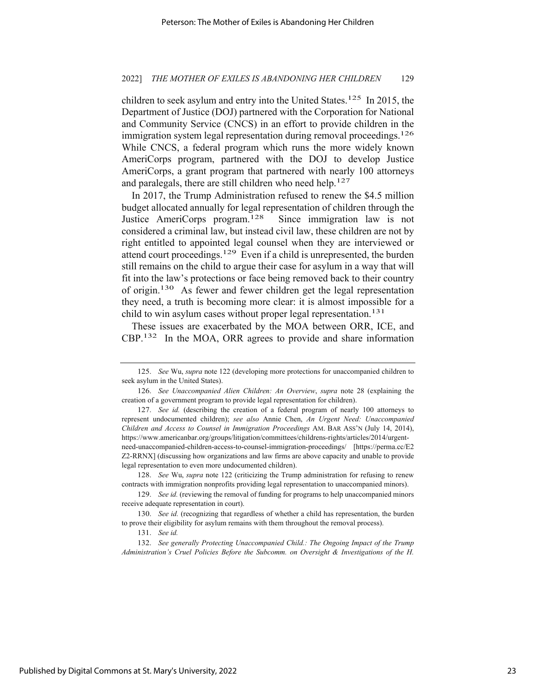children to seek asylum and entry into the United States.<sup>125</sup> In 2015, the Department of Justice (DOJ) partnered with the Corporation for National and Community Service (CNCS) in an effort to provide children in the immigration system legal representation during removal proceedings.<sup>126</sup> While CNCS, a federal program which runs the more widely known AmeriCorps program, partnered with the DOJ to develop Justice AmeriCorps, a grant program that partnered with nearly 100 attorneys and paralegals, there are still children who need help.<sup>127</sup>

In 2017, the Trump Administration refused to renew the \$4.5 million budget allocated annually for legal representation of children through the Justice AmeriCorps program.128 Since immigration law is not considered a criminal law, but instead civil law, these children are not by right entitled to appointed legal counsel when they are interviewed or attend court proceedings.129 Even if a child is unrepresented, the burden still remains on the child to argue their case for asylum in a way that will fit into the law's protections or face being removed back to their country of origin.130 As fewer and fewer children get the legal representation they need, a truth is becoming more clear: it is almost impossible for a child to win asylum cases without proper legal representation.<sup>131</sup>

These issues are exacerbated by the MOA between ORR, ICE, and CBP.132 In the MOA, ORR agrees to provide and share information

128. *See* Wu, *supra* note 122 (criticizing the Trump administration for refusing to renew contracts with immigration nonprofits providing legal representation to unaccompanied minors).

132. *See generally Protecting Unaccompanied Child.: The Ongoing Impact of the Trump Administration's Cruel Policies Before the Subcomm. on Oversight & Investigations of the H.* 

<sup>125.</sup> *See* Wu, *supra* note 122 (developing more protections for unaccompanied children to seek asylum in the United States).

<sup>126.</sup> *See Unaccompanied Alien Children: An Overview*, *supra* note 28 (explaining the creation of a government program to provide legal representation for children).

<sup>127.</sup> *See id.* (describing the creation of a federal program of nearly 100 attorneys to represent undocumented children); *see also* Annie Chen, *An Urgent Need: Unaccompanied Children and Access to Counsel in Immigration Proceedings* AM. BAR ASS'N (July 14, 2014), https://www.americanbar.org/groups/litigation/committees/childrens-rights/articles/2014/urgentneed-unaccompanied-children-access-to-counsel-immigration-proceedings/ [https://perma.cc/E2 Z2-RRNX] (discussing how organizations and law firms are above capacity and unable to provide legal representation to even more undocumented children).

<sup>129.</sup> *See id.* (reviewing the removal of funding for programs to help unaccompanied minors receive adequate representation in court).

<sup>130.</sup> *See id.* (recognizing that regardless of whether a child has representation, the burden to prove their eligibility for asylum remains with them throughout the removal process).

<sup>131.</sup> *See id.*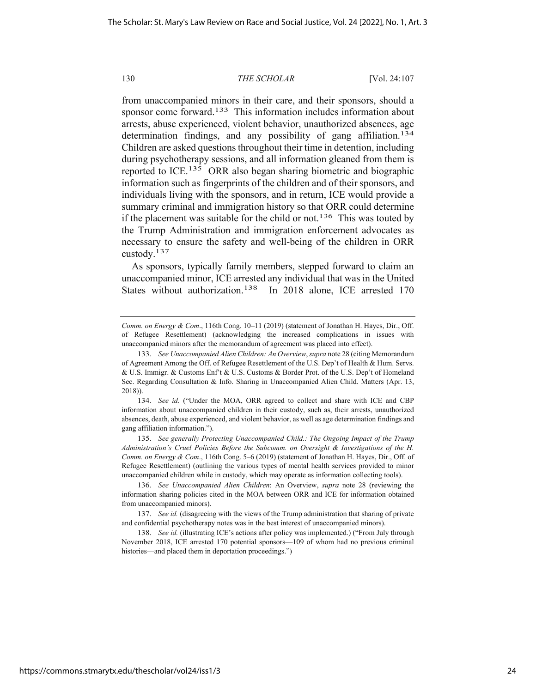from unaccompanied minors in their care, and their sponsors, should a sponsor come forward.<sup>133</sup> This information includes information about arrests, abuse experienced, violent behavior, unauthorized absences, age determination findings, and any possibility of gang affiliation.<sup>134</sup> Children are asked questions throughout their time in detention, including during psychotherapy sessions, and all information gleaned from them is reported to ICE.<sup>135</sup> ORR also began sharing biometric and biographic information such as fingerprints of the children and of their sponsors, and individuals living with the sponsors, and in return, ICE would provide a summary criminal and immigration history so that ORR could determine if the placement was suitable for the child or not.<sup>136</sup> This was touted by the Trump Administration and immigration enforcement advocates as necessary to ensure the safety and well-being of the children in ORR custody.137

As sponsors, typically family members, stepped forward to claim an unaccompanied minor, ICE arrested any individual that was in the United States without authorization.<sup>138</sup> In 2018 alone, ICE arrested 170

*Comm. on Energy & Com*., 116th Cong. 10–11 (2019) (statement of Jonathan H. Hayes, Dir., Off. of Refugee Resettlement) (acknowledging the increased complications in issues with unaccompanied minors after the memorandum of agreement was placed into effect).

<sup>133.</sup> *See Unaccompanied Alien Children: An Overview*, *supra* note 28 (citing Memorandum of Agreement Among the Off. of Refugee Resettlement of the U.S. Dep't of Health & Hum. Servs. & U.S. Immigr. & Customs Enf't & U.S. Customs & Border Prot. of the U.S. Dep't of Homeland Sec. Regarding Consultation & Info. Sharing in Unaccompanied Alien Child. Matters (Apr. 13, 2018)).

<sup>134.</sup> *See id.* ("Under the MOA, ORR agreed to collect and share with ICE and CBP information about unaccompanied children in their custody, such as, their arrests, unauthorized absences, death, abuse experienced, and violent behavior, as well as age determination findings and gang affiliation information.").

<sup>135.</sup> *See generally Protecting Unaccompanied Child.: The Ongoing Impact of the Trump Administration's Cruel Policies Before the Subcomm. on Oversight & Investigations of the H. Comm. on Energy & Com*., 116th Cong. 5–6 (2019) (statement of Jonathan H. Hayes, Dir., Off. of Refugee Resettlement) (outlining the various types of mental health services provided to minor unaccompanied children while in custody, which may operate as information collecting tools).

<sup>136.</sup> *See Unaccompanied Alien Children*: An Overview, *supra* note 28 (reviewing the information sharing policies cited in the MOA between ORR and ICE for information obtained from unaccompanied minors).

<sup>137.</sup> *See id.* (disagreeing with the views of the Trump administration that sharing of private and confidential psychotherapy notes was in the best interest of unaccompanied minors).

<sup>138.</sup> *See id.* (illustrating ICE's actions after policy was implemented.) ("From July through November 2018, ICE arrested 170 potential sponsors—109 of whom had no previous criminal histories—and placed them in deportation proceedings.")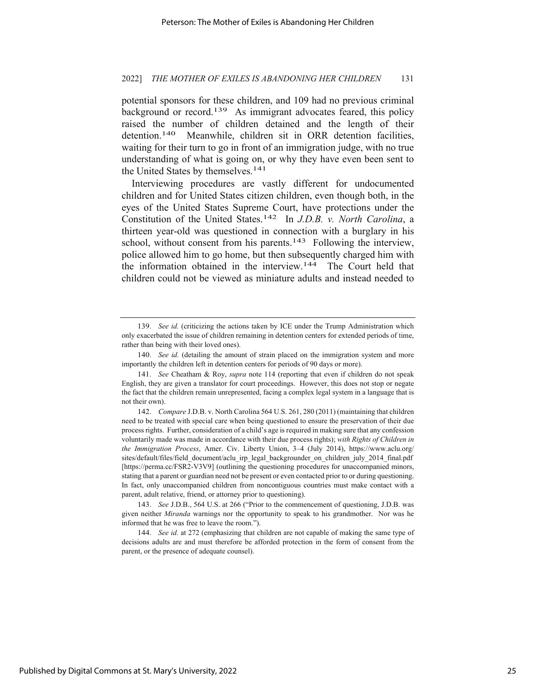potential sponsors for these children, and 109 had no previous criminal background or record.<sup>139</sup> As immigrant advocates feared, this policy raised the number of children detained and the length of their detention.<sup>140</sup> Meanwhile, children sit in ORR detention facilities, waiting for their turn to go in front of an immigration judge, with no true understanding of what is going on, or why they have even been sent to the United States by themselves.<sup>141</sup>

Interviewing procedures are vastly different for undocumented children and for United States citizen children, even though both, in the eyes of the United States Supreme Court, have protections under the Constitution of the United States.142 In *J.D.B. v. North Carolina*, a thirteen year-old was questioned in connection with a burglary in his school, without consent from his parents.<sup>143</sup> Following the interview, police allowed him to go home, but then subsequently charged him with the information obtained in the interview.144 The Court held that children could not be viewed as miniature adults and instead needed to

<sup>139.</sup> *See id.* (criticizing the actions taken by ICE under the Trump Administration which only exacerbated the issue of children remaining in detention centers for extended periods of time, rather than being with their loved ones).

<sup>140.</sup> *See id.* (detailing the amount of strain placed on the immigration system and more importantly the children left in detention centers for periods of 90 days or more).

<sup>141.</sup> *See* Cheatham & Roy, *supra* note 114 (reporting that even if children do not speak English, they are given a translator for court proceedings. However, this does not stop or negate the fact that the children remain unrepresented, facing a complex legal system in a language that is not their own).

<sup>142.</sup> *Compare* J.D.B. v. North Carolina 564 U.S. 261, 280 (2011) (maintaining that children need to be treated with special care when being questioned to ensure the preservation of their due process rights. Further, consideration of a child's age is required in making sure that any confession voluntarily made was made in accordance with their due process rights); *with Rights of Children in the Immigration Process*, Amer. Civ. Liberty Union, 3–4 (July 2014), https://www.aclu.org/ sites/default/files/field\_document/aclu\_irp\_legal\_backgrounder\_on\_children\_july\_2014\_final.pdf [https://perma.cc/FSR2-V3V9] (outlining the questioning procedures for unaccompanied minors, stating that a parent or guardian need not be present or even contacted prior to or during questioning. In fact, only unaccompanied children from noncontiguous countries must make contact with a parent, adult relative, friend, or attorney prior to questioning).

<sup>143.</sup> *See* J.D.B., 564 U.S. at 266 ("Prior to the commencement of questioning, J.D.B. was given neither *Miranda* warnings nor the opportunity to speak to his grandmother. Nor was he informed that he was free to leave the room.").

<sup>144.</sup> *See id.* at 272 (emphasizing that children are not capable of making the same type of decisions adults are and must therefore be afforded protection in the form of consent from the parent, or the presence of adequate counsel).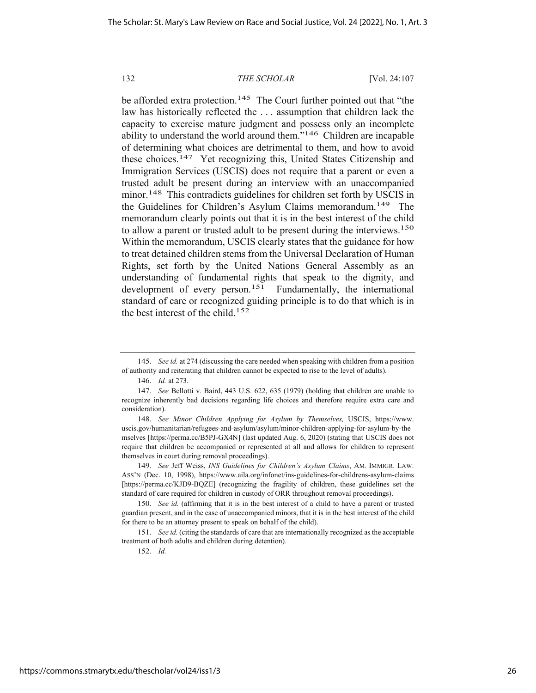be afforded extra protection.<sup>145</sup> The Court further pointed out that "the law has historically reflected the . . . assumption that children lack the capacity to exercise mature judgment and possess only an incomplete ability to understand the world around them."146 Children are incapable of determining what choices are detrimental to them, and how to avoid these choices.147 Yet recognizing this, United States Citizenship and Immigration Services (USCIS) does not require that a parent or even a trusted adult be present during an interview with an unaccompanied minor.<sup>148</sup> This contradicts guidelines for children set forth by USCIS in the Guidelines for Children's Asylum Claims memorandum.<sup>149</sup> The memorandum clearly points out that it is in the best interest of the child to allow a parent or trusted adult to be present during the interviews.<sup>150</sup> Within the memorandum, USCIS clearly states that the guidance for how to treat detained children stems from the Universal Declaration of Human Rights, set forth by the United Nations General Assembly as an understanding of fundamental rights that speak to the dignity, and development of every person.<sup>151</sup> Fundamentally, the international standard of care or recognized guiding principle is to do that which is in the best interest of the child.<sup>152</sup>

149. *See* Jeff Weiss, *INS Guidelines for Children's Asylum Claims*, AM. IMMIGR. LAW. ASS'N (Dec. 10, 1998), https://www.aila.org/infonet/ins-guidelines-for-childrens-asylum-claims [https://perma.cc/KJD9-BQZE] (recognizing the fragility of children, these guidelines set the standard of care required for children in custody of ORR throughout removal proceedings).

<sup>145.</sup> *See id.* at 274 (discussing the care needed when speaking with children from a position of authority and reiterating that children cannot be expected to rise to the level of adults).

<sup>146.</sup> *Id.* at 273.

<sup>147.</sup> *See* Bellotti v. Baird, 443 U.S. 622, 635 (1979) (holding that children are unable to recognize inherently bad decisions regarding life choices and therefore require extra care and consideration).

<sup>148.</sup> *See Minor Children Applying for Asylum by Themselves,* USCIS, https://www. uscis.gov/humanitarian/refugees-and-asylum/asylum/minor-children-applying-for-asylum-by-the mselves [https://perma.cc/B5PJ-GX4N] (last updated Aug. 6, 2020) (stating that USCIS does not require that children be accompanied or represented at all and allows for children to represent themselves in court during removal proceedings).

<sup>150.</sup> *See id.* (affirming that it is in the best interest of a child to have a parent or trusted guardian present, and in the case of unaccompanied minors, that it is in the best interest of the child for there to be an attorney present to speak on behalf of the child).

<sup>151.</sup> *See id.* (citing the standards of care that are internationally recognized as the acceptable treatment of both adults and children during detention).

<sup>152.</sup> *Id.*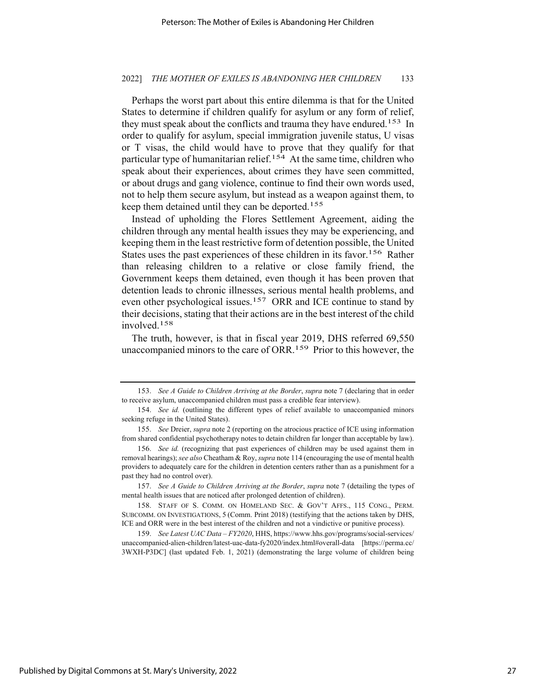#### 2022] *THE MOTHER OF EXILES IS ABANDONING HER CHILDREN* 133

Perhaps the worst part about this entire dilemma is that for the United States to determine if children qualify for asylum or any form of relief, they must speak about the conflicts and trauma they have endured.<sup>153</sup> In order to qualify for asylum, special immigration juvenile status, U visas or T visas, the child would have to prove that they qualify for that particular type of humanitarian relief.<sup>154</sup> At the same time, children who speak about their experiences, about crimes they have seen committed, or about drugs and gang violence, continue to find their own words used, not to help them secure asylum, but instead as a weapon against them, to keep them detained until they can be deported.<sup>155</sup>

Instead of upholding the Flores Settlement Agreement, aiding the children through any mental health issues they may be experiencing, and keeping them in the least restrictive form of detention possible, the United States uses the past experiences of these children in its favor.<sup>156</sup> Rather than releasing children to a relative or close family friend, the Government keeps them detained, even though it has been proven that detention leads to chronic illnesses, serious mental health problems, and even other psychological issues.<sup>157</sup> ORR and ICE continue to stand by their decisions, stating that their actions are in the best interest of the child involved.158

The truth, however, is that in fiscal year 2019, DHS referred 69,550 unaccompanied minors to the care of ORR.<sup>159</sup> Prior to this however, the

<sup>153.</sup> *See A Guide to Children Arriving at the Border*, *supra* note 7 (declaring that in order to receive asylum, unaccompanied children must pass a credible fear interview).

<sup>154.</sup> *See id.* (outlining the different types of relief available to unaccompanied minors seeking refuge in the United States).

<sup>155.</sup> *See* Dreier, *supra* note 2 (reporting on the atrocious practice of ICE using information from shared confidential psychotherapy notes to detain children far longer than acceptable by law).

<sup>156.</sup> *See id.* (recognizing that past experiences of children may be used against them in removal hearings); *see also* Cheatham & Roy, *supra* note 114 (encouraging the use of mental health providers to adequately care for the children in detention centers rather than as a punishment for a past they had no control over).

<sup>157.</sup> *See A Guide to Children Arriving at the Border*, *supra* note 7 (detailing the types of mental health issues that are noticed after prolonged detention of children).

<sup>158.</sup> STAFF OF S. COMM. ON HOMELAND SEC. & GOV'T AFFS., 115 CONG., PERM. SUBCOMM. ON INVESTIGATIONS, 5 (Comm. Print 2018) (testifying that the actions taken by DHS, ICE and ORR were in the best interest of the children and not a vindictive or punitive process).

<sup>159.</sup> *See Latest UAC Data – FY2020*, HHS, https://www.hhs.gov/programs/social-services/ unaccompanied-alien-children/latest-uac-data-fy2020/index.html#overall-data [https://perma.cc/ 3WXH-P3DC] (last updated Feb. 1, 2021) (demonstrating the large volume of children being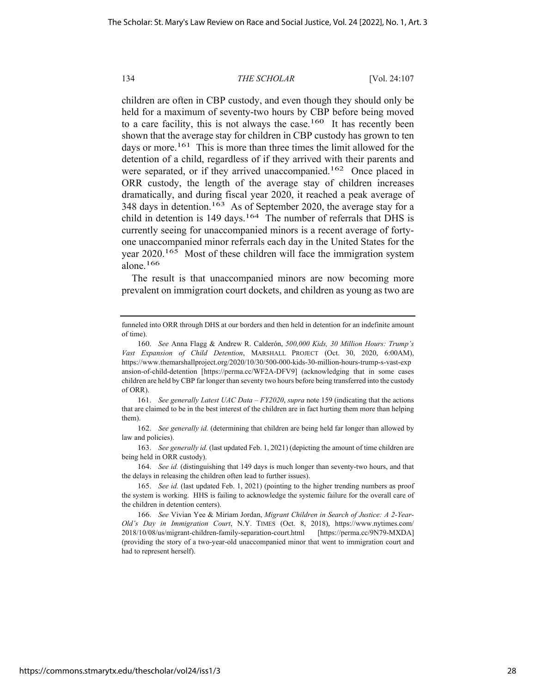children are often in CBP custody, and even though they should only be held for a maximum of seventy-two hours by CBP before being moved to a care facility, this is not always the case.<sup>160</sup> It has recently been shown that the average stay for children in CBP custody has grown to ten days or more.<sup>161</sup> This is more than three times the limit allowed for the detention of a child, regardless of if they arrived with their parents and were separated, or if they arrived unaccompanied.<sup>162</sup> Once placed in ORR custody, the length of the average stay of children increases dramatically, and during fiscal year 2020, it reached a peak average of 348 days in detention.<sup>163</sup> As of September 2020, the average stay for a child in detention is 149 days.<sup>164</sup> The number of referrals that DHS is currently seeing for unaccompanied minors is a recent average of fortyone unaccompanied minor referrals each day in the United States for the year 2020.<sup>165</sup> Most of these children will face the immigration system alone.166

The result is that unaccompanied minors are now becoming more prevalent on immigration court dockets, and children as young as two are

funneled into ORR through DHS at our borders and then held in detention for an indefinite amount of time).

<sup>160.</sup> *See* Anna Flagg & Andrew R. Calderón, *500,000 Kids, 30 Million Hours: Trump's Vast Expansion of Child Detention*, MARSHALL PROJECT (Oct. 30, 2020, 6:00AM), https://www.themarshallproject.org/2020/10/30/500-000-kids-30-million-hours-trump-s-vast-exp ansion-of-child-detention [https://perma.cc/WF2A-DFV9] (acknowledging that in some cases children are held by CBP far longer than seventy two hours before being transferred into the custody of ORR).

<sup>161.</sup> *See generally Latest UAC Data – FY2020*, *supra* note 159 (indicating that the actions that are claimed to be in the best interest of the children are in fact hurting them more than helping them).

<sup>162.</sup> *See generally id.* (determining that children are being held far longer than allowed by law and policies).

<sup>163.</sup> *See generally id.* (last updated Feb. 1, 2021) (depicting the amount of time children are being held in ORR custody).

<sup>164.</sup> *See id.* (distinguishing that 149 days is much longer than seventy-two hours, and that the delays in releasing the children often lead to further issues).

<sup>165.</sup> *See id.* (last updated Feb. 1, 2021) (pointing to the higher trending numbers as proof the system is working. HHS is failing to acknowledge the systemic failure for the overall care of the children in detention centers).

<sup>166.</sup> *See* Vivian Yee & Miriam Jordan, *Migrant Children in Search of Justice: A 2-Year-Old's Day in Immigration Court*, N.Y. TIMES (Oct. 8, 2018), https://www.nytimes.com/ 2018/10/08/us/migrant-children-family-separation-court.html [https://perma.cc/9N79-MXDA] (providing the story of a two-year-old unaccompanied minor that went to immigration court and had to represent herself).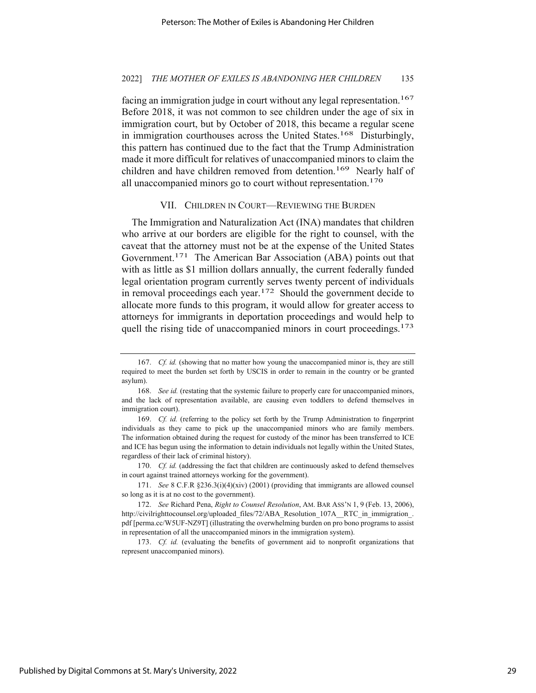#### 2022] *THE MOTHER OF EXILES IS ABANDONING HER CHILDREN* 135

facing an immigration judge in court without any legal representation.<sup>167</sup> Before 2018, it was not common to see children under the age of six in immigration court, but by October of 2018, this became a regular scene in immigration courthouses across the United States.<sup>168</sup> Disturbingly, this pattern has continued due to the fact that the Trump Administration made it more difficult for relatives of unaccompanied minors to claim the children and have children removed from detention.<sup>169</sup> Nearly half of all unaccompanied minors go to court without representation.<sup>170</sup>

#### VII. CHILDREN IN COURT—REVIEWING THE BURDEN

The Immigration and Naturalization Act (INA) mandates that children who arrive at our borders are eligible for the right to counsel, with the caveat that the attorney must not be at the expense of the United States Government.<sup>171</sup> The American Bar Association (ABA) points out that with as little as \$1 million dollars annually, the current federally funded legal orientation program currently serves twenty percent of individuals in removal proceedings each year.172 Should the government decide to allocate more funds to this program, it would allow for greater access to attorneys for immigrants in deportation proceedings and would help to quell the rising tide of unaccompanied minors in court proceedings.<sup>173</sup>

<sup>167.</sup> *Cf. id.* (showing that no matter how young the unaccompanied minor is, they are still required to meet the burden set forth by USCIS in order to remain in the country or be granted asylum).

<sup>168.</sup> *See id.* (restating that the systemic failure to properly care for unaccompanied minors, and the lack of representation available, are causing even toddlers to defend themselves in immigration court).

<sup>169.</sup> *Cf. id.* (referring to the policy set forth by the Trump Administration to fingerprint individuals as they came to pick up the unaccompanied minors who are family members. The information obtained during the request for custody of the minor has been transferred to ICE and ICE has begun using the information to detain individuals not legally within the United States, regardless of their lack of criminal history).

<sup>170.</sup> *Cf. id.* (addressing the fact that children are continuously asked to defend themselves in court against trained attorneys working for the government).

<sup>171.</sup> *See* 8 C.F.R §236.3(i)(4)(xiv) (2001) (providing that immigrants are allowed counsel so long as it is at no cost to the government).

<sup>172.</sup> *See* Richard Pena, *Right to Counsel Resolution*, AM. BAR ASS'N 1, 9 (Feb. 13, 2006), http://civilrighttocounsel.org/uploaded\_files/72/ABA\_Resolution\_107A\_\_RTC\_in\_immigration\_. pdf [perma.cc/W5UF-NZ9T] (illustrating the overwhelming burden on pro bono programs to assist in representation of all the unaccompanied minors in the immigration system).

<sup>173.</sup> *Cf. id.* (evaluating the benefits of government aid to nonprofit organizations that represent unaccompanied minors).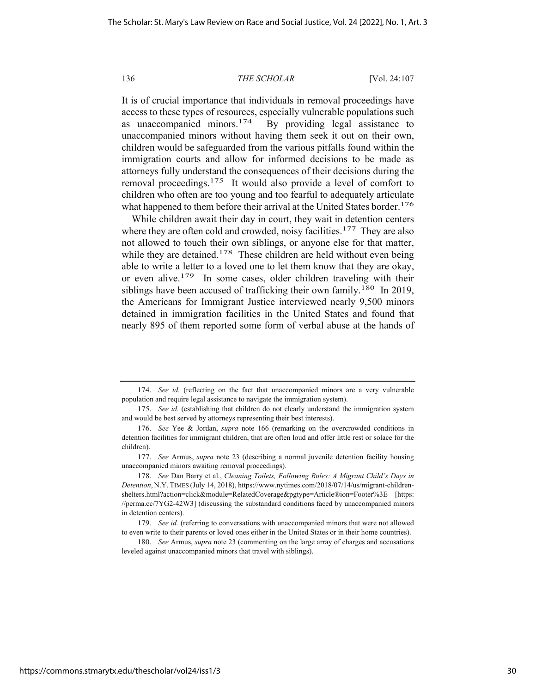It is of crucial importance that individuals in removal proceedings have access to these types of resources, especially vulnerable populations such as unaccompanied minors.<sup>174</sup> By providing legal assistance to unaccompanied minors without having them seek it out on their own, children would be safeguarded from the various pitfalls found within the immigration courts and allow for informed decisions to be made as attorneys fully understand the consequences of their decisions during the removal proceedings.<sup>175</sup> It would also provide a level of comfort to children who often are too young and too fearful to adequately articulate what happened to them before their arrival at the United States border.<sup>176</sup>

While children await their day in court, they wait in detention centers where they are often cold and crowded, noisy facilities.<sup>177</sup> They are also not allowed to touch their own siblings, or anyone else for that matter, while they are detained.<sup>178</sup> These children are held without even being able to write a letter to a loved one to let them know that they are okay, or even alive.179 In some cases, older children traveling with their siblings have been accused of trafficking their own family.<sup>180</sup> In 2019, the Americans for Immigrant Justice interviewed nearly 9,500 minors detained in immigration facilities in the United States and found that nearly 895 of them reported some form of verbal abuse at the hands of

180. *See* Armus, *supra* note 23 (commenting on the large array of charges and accusations leveled against unaccompanied minors that travel with siblings).

<sup>174.</sup> *See id.* (reflecting on the fact that unaccompanied minors are a very vulnerable population and require legal assistance to navigate the immigration system).

<sup>175.</sup> *See id.* (establishing that children do not clearly understand the immigration system and would be best served by attorneys representing their best interests).

<sup>176.</sup> *See* Yee & Jordan, *supra* note 166 (remarking on the overcrowded conditions in detention facilities for immigrant children, that are often loud and offer little rest or solace for the children).

<sup>177.</sup> *See* Armus, *supra* note 23 (describing a normal juvenile detention facility housing unaccompanied minors awaiting removal proceedings).

<sup>178.</sup> *See* Dan Barry et al., *Cleaning Toilets, Following Rules: A Migrant Child's Days in Detention*, N.Y. TIMES (July 14, 2018), https://www.nytimes.com/2018/07/14/us/migrant-childrenshelters.html?action=click&module=RelatedCoverage&pgtype=Article®ion=Footer%3E [https: //perma.cc/7YG2-42W3] (discussing the substandard conditions faced by unaccompanied minors in detention centers).

<sup>179.</sup> *See id.* (referring to conversations with unaccompanied minors that were not allowed to even write to their parents or loved ones either in the United States or in their home countries).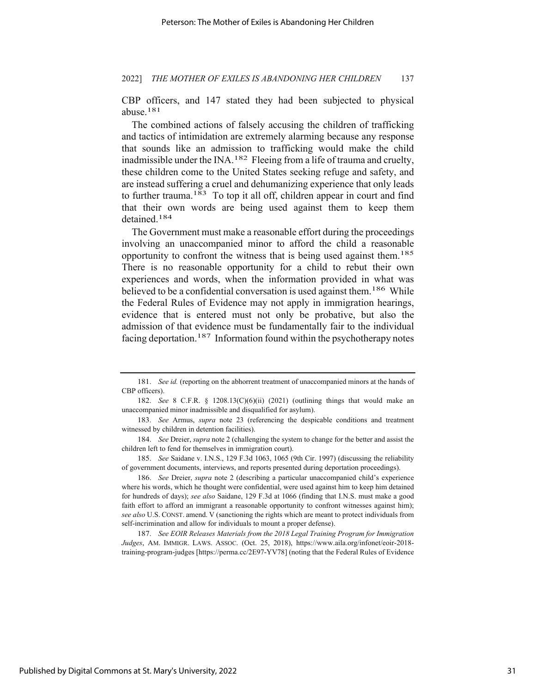CBP officers, and 147 stated they had been subjected to physical abuse.181

The combined actions of falsely accusing the children of trafficking and tactics of intimidation are extremely alarming because any response that sounds like an admission to trafficking would make the child inadmissible under the INA.182 Fleeing from a life of trauma and cruelty, these children come to the United States seeking refuge and safety, and are instead suffering a cruel and dehumanizing experience that only leads to further trauma.183 To top it all off, children appear in court and find that their own words are being used against them to keep them detained.184

The Government must make a reasonable effort during the proceedings involving an unaccompanied minor to afford the child a reasonable opportunity to confront the witness that is being used against them.185 There is no reasonable opportunity for a child to rebut their own experiences and words, when the information provided in what was believed to be a confidential conversation is used against them.<sup>186</sup> While the Federal Rules of Evidence may not apply in immigration hearings, evidence that is entered must not only be probative, but also the admission of that evidence must be fundamentally fair to the individual facing deportation.<sup>187</sup> Information found within the psychotherapy notes

185. *See* Saidane v. I.N.S., 129 F.3d 1063, 1065 (9th Cir. 1997) (discussing the reliability of government documents, interviews, and reports presented during deportation proceedings).

186. *See* Dreier, *supra* note 2 (describing a particular unaccompanied child's experience where his words, which he thought were confidential, were used against him to keep him detained for hundreds of days); *see also* Saidane, 129 F.3d at 1066 (finding that I.N.S. must make a good faith effort to afford an immigrant a reasonable opportunity to confront witnesses against him); *see also* U.S. CONST. amend. V (sanctioning the rights which are meant to protect individuals from self-incrimination and allow for individuals to mount a proper defense).

187. *See EOIR Releases Materials from the 2018 Legal Training Program for Immigration Judges*, AM. IMMIGR. LAWS. ASSOC. (Oct. 25, 2018), https://www.aila.org/infonet/eoir-2018 training-program-judges [https://perma.cc/2E97-YV78] (noting that the Federal Rules of Evidence

<sup>181.</sup> *See id.* (reporting on the abhorrent treatment of unaccompanied minors at the hands of CBP officers).

<sup>182.</sup> *See* 8 C.F.R. § 1208.13(C)(6)(ii) (2021) (outlining things that would make an unaccompanied minor inadmissible and disqualified for asylum).

<sup>183.</sup> *See* Armus, *supra* note 23 (referencing the despicable conditions and treatment witnessed by children in detention facilities).

<sup>184.</sup> *See* Dreier, *supra* note 2 (challenging the system to change for the better and assist the children left to fend for themselves in immigration court).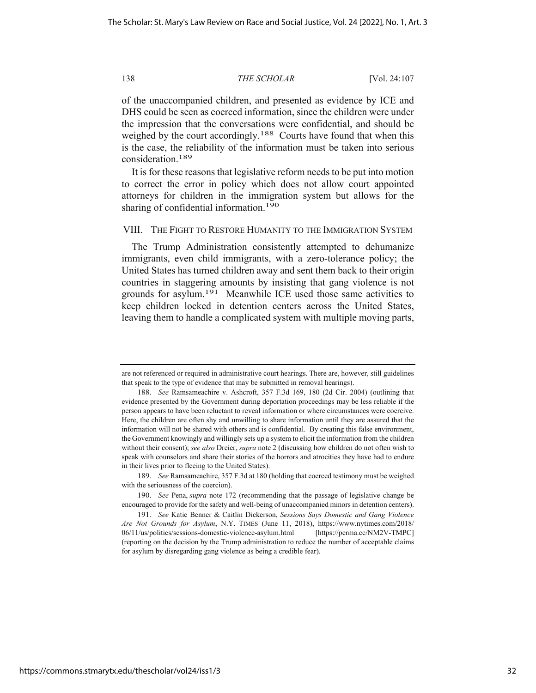of the unaccompanied children, and presented as evidence by ICE and DHS could be seen as coerced information, since the children were under the impression that the conversations were confidential, and should be weighed by the court accordingly.<sup>188</sup> Courts have found that when this is the case, the reliability of the information must be taken into serious consideration.189

It is for these reasons that legislative reform needs to be put into motion to correct the error in policy which does not allow court appointed attorneys for children in the immigration system but allows for the sharing of confidential information.<sup>190</sup>

## VIII. THE FIGHT TO RESTORE HUMANITY TO THE IMMIGRATION SYSTEM

The Trump Administration consistently attempted to dehumanize immigrants, even child immigrants, with a zero-tolerance policy; the United States has turned children away and sent them back to their origin countries in staggering amounts by insisting that gang violence is not grounds for asylum.191 Meanwhile ICE used those same activities to keep children locked in detention centers across the United States, leaving them to handle a complicated system with multiple moving parts,

are not referenced or required in administrative court hearings. There are, however, still guidelines that speak to the type of evidence that may be submitted in removal hearings).

<sup>188.</sup> *See* Ramsameachire v. Ashcroft, 357 F.3d 169, 180 (2d Cir. 2004) (outlining that evidence presented by the Government during deportation proceedings may be less reliable if the person appears to have been reluctant to reveal information or where circumstances were coercive. Here, the children are often shy and unwilling to share information until they are assured that the information will not be shared with others and is confidential. By creating this false environment, the Government knowingly and willingly sets up a system to elicit the information from the children without their consent); *see also* Dreier, *supra* note 2 (discussing how children do not often wish to speak with counselors and share their stories of the horrors and atrocities they have had to endure in their lives prior to fleeing to the United States).

<sup>189.</sup> *See* Ramsameachire, 357 F.3d at 180 (holding that coerced testimony must be weighed with the seriousness of the coercion).

<sup>190.</sup> *See* Pena, *supra* note 172 (recommending that the passage of legislative change be encouraged to provide for the safety and well-being of unaccompanied minors in detention centers).

<sup>191.</sup> *See* Katie Benner & Caitlin Dickerson, *Sessions Says Domestic and Gang Violence Are Not Grounds for Asylum*, N.Y. TIMES (June 11, 2018), https://www.nytimes.com/2018/ 06/11/us/politics/sessions-domestic-violence-asylum.html [https://perma.cc/NM2V-TMPC] (reporting on the decision by the Trump administration to reduce the number of acceptable claims for asylum by disregarding gang violence as being a credible fear).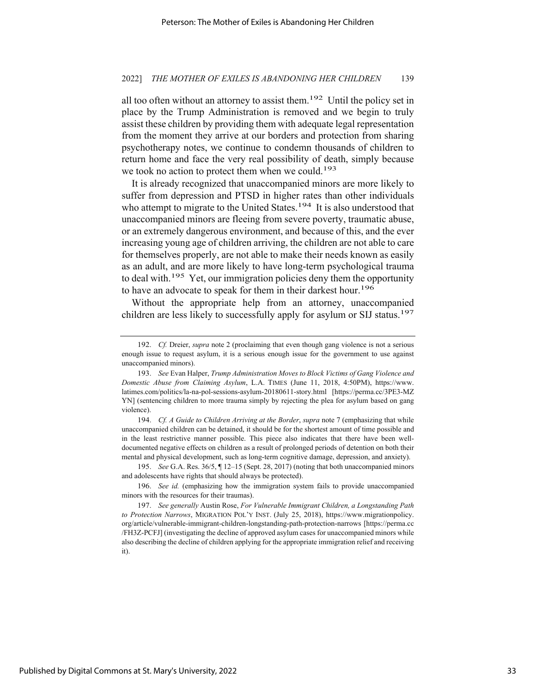all too often without an attorney to assist them.<sup>192</sup> Until the policy set in place by the Trump Administration is removed and we begin to truly assist these children by providing them with adequate legal representation from the moment they arrive at our borders and protection from sharing psychotherapy notes, we continue to condemn thousands of children to return home and face the very real possibility of death, simply because we took no action to protect them when we could.<sup>193</sup>

It is already recognized that unaccompanied minors are more likely to suffer from depression and PTSD in higher rates than other individuals who attempt to migrate to the United States.<sup>194</sup> It is also understood that unaccompanied minors are fleeing from severe poverty, traumatic abuse, or an extremely dangerous environment, and because of this, and the ever increasing young age of children arriving, the children are not able to care for themselves properly, are not able to make their needs known as easily as an adult, and are more likely to have long-term psychological trauma to deal with.195 Yet, our immigration policies deny them the opportunity to have an advocate to speak for them in their darkest hour.<sup>196</sup>

Without the appropriate help from an attorney, unaccompanied children are less likely to successfully apply for asylum or SIJ status.<sup>197</sup>

194. *Cf. A Guide to Children Arriving at the Border*, *supra* note 7 (emphasizing that while unaccompanied children can be detained, it should be for the shortest amount of time possible and in the least restrictive manner possible. This piece also indicates that there have been welldocumented negative effects on children as a result of prolonged periods of detention on both their mental and physical development, such as long-term cognitive damage, depression, and anxiety).

196. *See id.* (emphasizing how the immigration system fails to provide unaccompanied minors with the resources for their traumas).

<sup>192.</sup> *Cf.* Dreier, *supra* note 2 (proclaiming that even though gang violence is not a serious enough issue to request asylum, it is a serious enough issue for the government to use against unaccompanied minors).

<sup>193.</sup> *See* Evan Halper, *Trump Administration Moves to Block Victims of Gang Violence and Domestic Abuse from Claiming Asylum*, L.A. TIMES (June 11, 2018, 4:50PM), https://www. latimes.com/politics/la-na-pol-sessions-asylum-20180611-story.html [https://perma.cc/3PE3-MZ YN] (sentencing children to more trauma simply by rejecting the plea for asylum based on gang violence).

<sup>195.</sup> *See* G.A. Res. 36/5, ¶ 12–15 (Sept. 28, 2017) (noting that both unaccompanied minors and adolescents have rights that should always be protected).

<sup>197.</sup> *See generally* Austin Rose, *For Vulnerable Immigrant Children, a Longstanding Path to Protection Narrows*, MIGRATION POL'Y INST. (July 25, 2018), https://www.migrationpolicy. org/article/vulnerable-immigrant-children-longstanding-path-protection-narrows [https://perma.cc /FH3Z-PCFJ] (investigating the decline of approved asylum cases for unaccompanied minors while also describing the decline of children applying for the appropriate immigration relief and receiving it).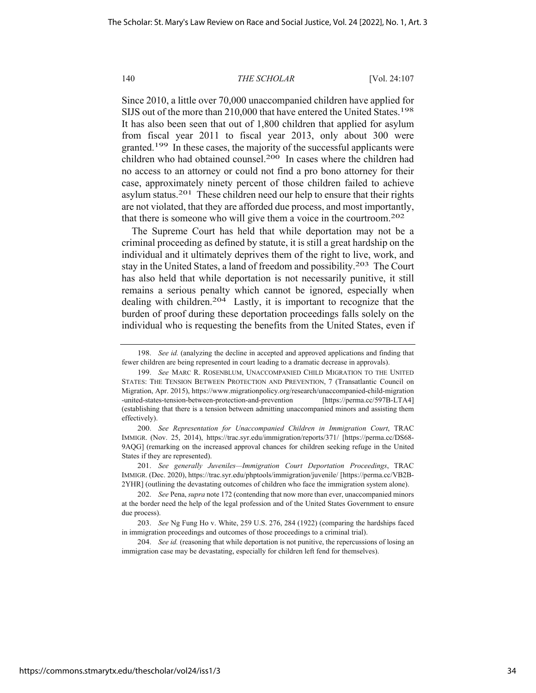Since 2010, a little over 70,000 unaccompanied children have applied for SIJS out of the more than 210,000 that have entered the United States.<sup>198</sup> It has also been seen that out of 1,800 children that applied for asylum from fiscal year 2011 to fiscal year 2013, only about 300 were granted.199 In these cases, the majority of the successful applicants were children who had obtained counsel.<sup>200</sup> In cases where the children had no access to an attorney or could not find a pro bono attorney for their case, approximately ninety percent of those children failed to achieve asylum status.201 These children need our help to ensure that their rights are not violated, that they are afforded due process, and most importantly, that there is someone who will give them a voice in the courtroom.202

The Supreme Court has held that while deportation may not be a criminal proceeding as defined by statute, it is still a great hardship on the individual and it ultimately deprives them of the right to live, work, and stay in the United States, a land of freedom and possibility.<sup>203</sup> The Court has also held that while deportation is not necessarily punitive, it still remains a serious penalty which cannot be ignored, especially when dealing with children.204 Lastly, it is important to recognize that the burden of proof during these deportation proceedings falls solely on the individual who is requesting the benefits from the United States, even if

200. *See Representation for Unaccompanied Children in Immigration Court*, TRAC IMMIGR. (Nov. 25, 2014), https://trac.syr.edu/immigration/reports/371/ [https://perma.cc/DS68- 9AQG] (remarking on the increased approval chances for children seeking refuge in the United States if they are represented).

204. *See id.* (reasoning that while deportation is not punitive, the repercussions of losing an immigration case may be devastating, especially for children left fend for themselves).

<sup>198.</sup> *See id.* (analyzing the decline in accepted and approved applications and finding that fewer children are being represented in court leading to a dramatic decrease in approvals).

<sup>199.</sup> *See* MARC R. ROSENBLUM, UNACCOMPANIED CHILD MIGRATION TO THE UNITED STATES: THE TENSION BETWEEN PROTECTION AND PREVENTION, 7 (Transatlantic Council on Migration, Apr. 2015), https://www.migrationpolicy.org/research/unaccompanied-child-migration -united-states-tension-between-protection-and-prevention [https://perma.cc/597B-LTA4] (establishing that there is a tension between admitting unaccompanied minors and assisting them effectively).

<sup>201.</sup> *See generally Juveniles—Immigration Court Deportation Proceedings*, TRAC IMMIGR. (Dec. 2020), https://trac.syr.edu/phptools/immigration/juvenile/ [https://perma.cc/VB2B-2YHR] (outlining the devastating outcomes of children who face the immigration system alone).

<sup>202.</sup> *See* Pena, *supra* note 172 (contending that now more than ever, unaccompanied minors at the border need the help of the legal profession and of the United States Government to ensure due process).

<sup>203.</sup> *See* Ng Fung Ho v. White, 259 U.S. 276, 284 (1922) (comparing the hardships faced in immigration proceedings and outcomes of those proceedings to a criminal trial).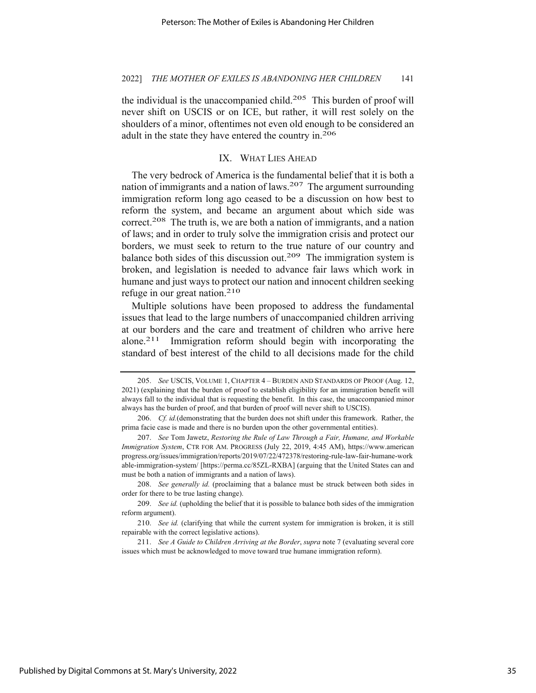the individual is the unaccompanied child.205 This burden of proof will never shift on USCIS or on ICE, but rather, it will rest solely on the shoulders of a minor, oftentimes not even old enough to be considered an adult in the state they have entered the country in.206

# IX. WHAT LIES AHEAD

The very bedrock of America is the fundamental belief that it is both a nation of immigrants and a nation of laws.<sup>207</sup> The argument surrounding immigration reform long ago ceased to be a discussion on how best to reform the system, and became an argument about which side was correct.<sup>208</sup> The truth is, we are both a nation of immigrants, and a nation of laws; and in order to truly solve the immigration crisis and protect our borders, we must seek to return to the true nature of our country and balance both sides of this discussion out.<sup>209</sup> The immigration system is broken, and legislation is needed to advance fair laws which work in humane and just ways to protect our nation and innocent children seeking refuge in our great nation.<sup>210</sup>

Multiple solutions have been proposed to address the fundamental issues that lead to the large numbers of unaccompanied children arriving at our borders and the care and treatment of children who arrive here alone.211 Immigration reform should begin with incorporating the standard of best interest of the child to all decisions made for the child

<sup>205.</sup> *See* USCIS, VOLUME 1, CHAPTER 4 – BURDEN AND STANDARDS OF PROOF (Aug. 12, 2021) (explaining that the burden of proof to establish eligibility for an immigration benefit will always fall to the individual that is requesting the benefit. In this case, the unaccompanied minor always has the burden of proof, and that burden of proof will never shift to USCIS).

<sup>206.</sup> *Cf. id.*(demonstrating that the burden does not shift under this framework. Rather, the prima facie case is made and there is no burden upon the other governmental entities).

<sup>207.</sup> *See* Tom Jawetz, *Restoring the Rule of Law Through a Fair, Humane, and Workable Immigration System*, CTR FOR AM. PROGRESS (July 22, 2019, 4:45 AM), https://www.american progress.org/issues/immigration/reports/2019/07/22/472378/restoring-rule-law-fair-humane-work able-immigration-system/ [https://perma.cc/85ZL-RXBA] (arguing that the United States can and must be both a nation of immigrants and a nation of laws).

<sup>208.</sup> *See generally id.* (proclaiming that a balance must be struck between both sides in order for there to be true lasting change).

<sup>209.</sup> *See id.* (upholding the belief that it is possible to balance both sides of the immigration reform argument).

<sup>210.</sup> *See id.* (clarifying that while the current system for immigration is broken, it is still repairable with the correct legislative actions).

<sup>211.</sup> *See A Guide to Children Arriving at the Border*, *supra* note 7 (evaluating several core issues which must be acknowledged to move toward true humane immigration reform).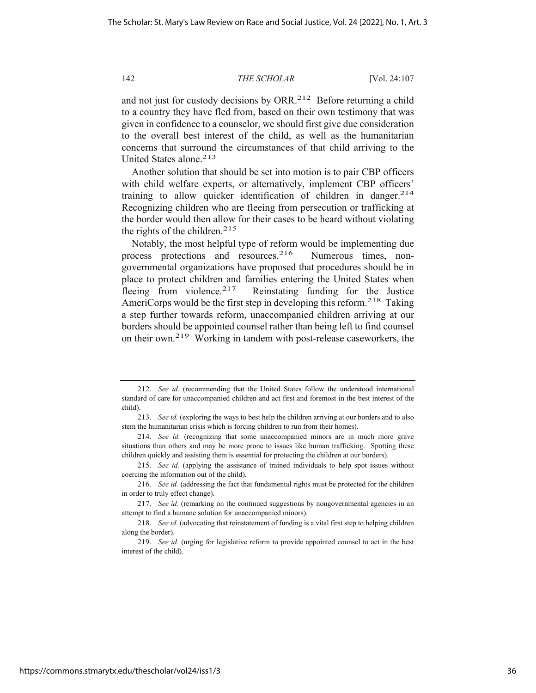and not just for custody decisions by ORR.<sup>212</sup> Before returning a child to a country they have fled from, based on their own testimony that was given in confidence to a counselor, we should first give due consideration to the overall best interest of the child, as well as the humanitarian concerns that surround the circumstances of that child arriving to the United States alone.<sup>213</sup>

Another solution that should be set into motion is to pair CBP officers with child welfare experts, or alternatively, implement CBP officers' training to allow quicker identification of children in danger.214 Recognizing children who are fleeing from persecution or trafficking at the border would then allow for their cases to be heard without violating the rights of the children.<sup>215</sup>

Notably, the most helpful type of reform would be implementing due process protections and resources.<sup>216</sup> Numerous times, nongovernmental organizations have proposed that procedures should be in place to protect children and families entering the United States when fleeing from violence.<sup>217</sup> Reinstating funding for the Justice AmeriCorps would be the first step in developing this reform.<sup>218</sup> Taking a step further towards reform, unaccompanied children arriving at our borders should be appointed counsel rather than being left to find counsel on their own.219 Working in tandem with post-release caseworkers, the

<sup>212.</sup> *See id.* (recommending that the United States follow the understood international standard of care for unaccompanied children and act first and foremost in the best interest of the child).

<sup>213.</sup> *See id.* (exploring the ways to best help the children arriving at our borders and to also stem the humanitarian crisis which is forcing children to run from their homes).

<sup>214.</sup> *See id.* (recognizing that some unaccompanied minors are in much more grave situations than others and may be more prone to issues like human trafficking. Spotting these children quickly and assisting them is essential for protecting the children at our borders).

<sup>215.</sup> *See id.* (applying the assistance of trained individuals to help spot issues without coercing the information out of the child).

<sup>216.</sup> *See id.* (addressing the fact that fundamental rights must be protected for the children in order to truly effect change).

<sup>217.</sup> *See id.* (remarking on the continued suggestions by nongovernmental agencies in an attempt to find a humane solution for unaccompanied minors).

<sup>218.</sup> *See id.* (advocating that reinstatement of funding is a vital first step to helping children along the border).

<sup>219.</sup> *See id.* (urging for legislative reform to provide appointed counsel to act in the best interest of the child).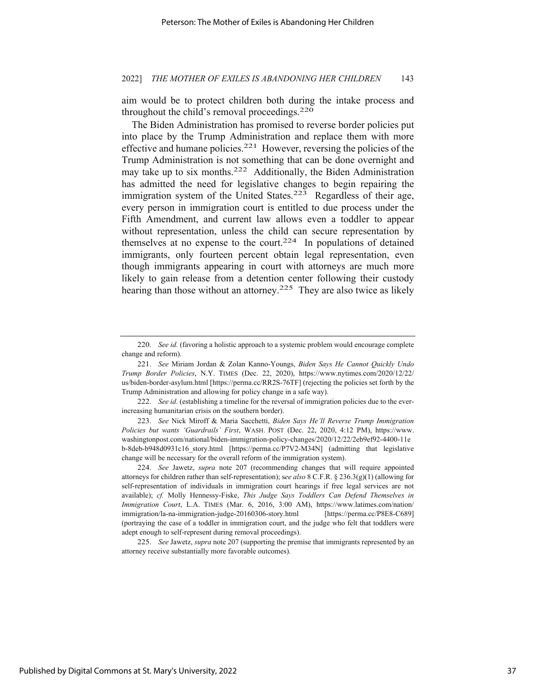aim would be to protect children both during the intake process and throughout the child's removal proceedings.<sup>220</sup>

The Biden Administration has promised to reverse border policies put into place by the Trump Administration and replace them with more effective and humane policies.<sup>221</sup> However, reversing the policies of the Trump Administration is not something that can be done overnight and may take up to six months.<sup>222</sup> Additionally, the Biden Administration has admitted the need for legislative changes to begin repairing the immigration system of the United States.<sup>223</sup> Regardless of their age, every person in immigration court is entitled to due process under the Fifth Amendment, and current law allows even a toddler to appear without representation, unless the child can secure representation by themselves at no expense to the court.<sup>224</sup> In populations of detained immigrants, only fourteen percent obtain legal representation, even though immigrants appearing in court with attorneys are much more likely to gain release from a detention center following their custody hearing than those without an attorney.<sup>225</sup> They are also twice as likely

223. *See* Nick Miroff & Maria Sacchetti, *Biden Says He'll Reverse Trump Immigration Policies but wants 'Guardrails' First*, WASH. POST (Dec. 22, 2020, 4:12 PM), https://www. washingtonpost.com/national/biden-immigration-policy-changes/2020/12/22/2eb9ef92-4400-11e b-8deb-b948d0931c16\_story.html [https://perma.cc/P7V2-M34N] (admitting that legislative change will be necessary for the overall reform of the immigration system).

224. *See* Jawetz, *supra* note 207 (recommending changes that will require appointed attorneys for children rather than self-representation); s*ee also* 8 C.F.R. § 236.3(g)(1) (allowing for self-representation of individuals in immigration court hearings if free legal services are not available); *cf.* Molly Hennessy-Fiske, *This Judge Says Toddlers Can Defend Themselves in Immigration Court*, L.A. TIMES (Mar. 6, 2016, 3:00 AM), https://www.latimes.com/nation/ immigration/la-na-immigration-judge-20160306-story.html [https://perma.cc/P8E8-C689] (portraying the case of a toddler in immigration court, and the judge who felt that toddlers were adept enough to self-represent during removal proceedings).

225. *See* Jawetz, *supra* note 207 (supporting the premise that immigrants represented by an attorney receive substantially more favorable outcomes).

<sup>220.</sup> *See id.* (favoring a holistic approach to a systemic problem would encourage complete change and reform).

<sup>221.</sup> *See* Miriam Jordan & Zolan Kanno-Youngs, *Biden Says He Cannot Quickly Undo Trump Border Policies*, N.Y. TIMES (Dec. 22, 2020), https://www.nytimes.com/2020/12/22/ us/biden-border-asylum.html [https://perma.cc/RR2S-76TF] (rejecting the policies set forth by the Trump Administration and allowing for policy change in a safe way).

<sup>222.</sup> *See id.* (establishing a timeline for the reversal of immigration policies due to the everincreasing humanitarian crisis on the southern border).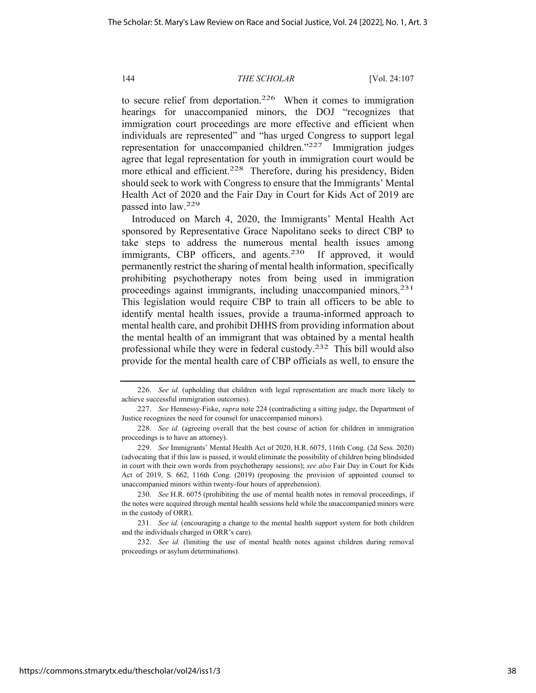to secure relief from deportation.<sup>226</sup> When it comes to immigration hearings for unaccompanied minors, the DOJ "recognizes that immigration court proceedings are more effective and efficient when individuals are represented" and "has urged Congress to support legal representation for unaccompanied children."227 Immigration judges agree that legal representation for youth in immigration court would be more ethical and efficient.<sup>228</sup> Therefore, during his presidency, Biden should seek to work with Congress to ensure that the Immigrants' Mental Health Act of 2020 and the Fair Day in Court for Kids Act of 2019 are passed into law.229

Introduced on March 4, 2020, the Immigrants' Mental Health Act sponsored by Representative Grace Napolitano seeks to direct CBP to take steps to address the numerous mental health issues among immigrants, CBP officers, and agents.<sup>230</sup> If approved, it would permanently restrict the sharing of mental health information, specifically prohibiting psychotherapy notes from being used in immigration proceedings against immigrants, including unaccompanied minors.231 This legislation would require CBP to train all officers to be able to identify mental health issues, provide a trauma-informed approach to mental health care, and prohibit DHHS from providing information about the mental health of an immigrant that was obtained by a mental health professional while they were in federal custody.232 This bill would also provide for the mental health care of CBP officials as well, to ensure the

<sup>226.</sup> *See id.* (upholding that children with legal representation are much more likely to achieve successful immigration outcomes).

<sup>227.</sup> *See* Hennessy-Fiske, *supra* note 224 (contradicting a sitting judge, the Department of Justice recognizes the need for counsel for unaccompanied minors).

<sup>228.</sup> *See id.* (agreeing overall that the best course of action for children in immigration proceedings is to have an attorney).

<sup>229.</sup> *See* Immigrants' Mental Health Act of 2020, H.R. 6075, 116th Cong. (2d Sess. 2020) (advocating that if this law is passed, it would eliminate the possibility of children being blindsided in court with their own words from psychotherapy sessions); *see also* Fair Day in Court for Kids Act of 2019, S. 662, 116th Cong. (2019) (proposing the provision of appointed counsel to unaccompanied minors within twenty-four hours of apprehension).

<sup>230.</sup> *See* H.R. 6075 (prohibiting the use of mental health notes in removal proceedings, if the notes were acquired through mental health sessions held while the unaccompanied minors were in the custody of ORR).

<sup>231.</sup> *See id.* (encouraging a change to the mental health support system for both children and the individuals charged in ORR's care).

<sup>232.</sup> *See id.* (limiting the use of mental health notes against children during removal proceedings or asylum determinations).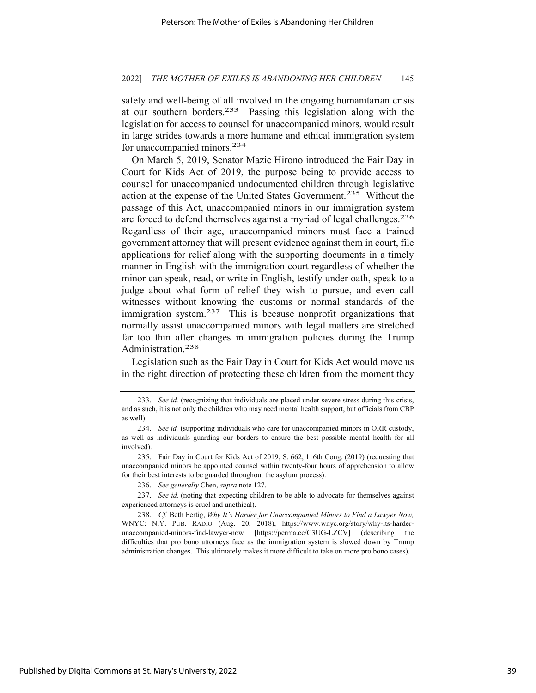safety and well-being of all involved in the ongoing humanitarian crisis at our southern borders.233 Passing this legislation along with the legislation for access to counsel for unaccompanied minors, would result in large strides towards a more humane and ethical immigration system for unaccompanied minors.<sup>234</sup>

On March 5, 2019, Senator Mazie Hirono introduced the Fair Day in Court for Kids Act of 2019, the purpose being to provide access to counsel for unaccompanied undocumented children through legislative action at the expense of the United States Government.235 Without the passage of this Act, unaccompanied minors in our immigration system are forced to defend themselves against a myriad of legal challenges.236 Regardless of their age, unaccompanied minors must face a trained government attorney that will present evidence against them in court, file applications for relief along with the supporting documents in a timely manner in English with the immigration court regardless of whether the minor can speak, read, or write in English, testify under oath, speak to a judge about what form of relief they wish to pursue, and even call witnesses without knowing the customs or normal standards of the immigration system.<sup>237</sup> This is because nonprofit organizations that normally assist unaccompanied minors with legal matters are stretched far too thin after changes in immigration policies during the Trump Administration.238

Legislation such as the Fair Day in Court for Kids Act would move us in the right direction of protecting these children from the moment they

236. *See generally* Chen, *supra* note 127.

<sup>233.</sup> *See id.* (recognizing that individuals are placed under severe stress during this crisis, and as such, it is not only the children who may need mental health support, but officials from CBP as well).

<sup>234.</sup> *See id.* (supporting individuals who care for unaccompanied minors in ORR custody, as well as individuals guarding our borders to ensure the best possible mental health for all involved).

<sup>235.</sup> Fair Day in Court for Kids Act of 2019, S. 662, 116th Cong. (2019) (requesting that unaccompanied minors be appointed counsel within twenty-four hours of apprehension to allow for their best interests to be guarded throughout the asylum process).

<sup>237.</sup> *See id.* (noting that expecting children to be able to advocate for themselves against experienced attorneys is cruel and unethical).

<sup>238.</sup> *Cf.* Beth Fertig, *Why It's Harder for Unaccompanied Minors to Find a Lawyer Now,* WNYC: N.Y. PUB. RADIO (Aug. 20, 2018), https://www.wnyc.org/story/why-its-harderunaccompanied-minors-find-lawyer-now [https://perma.cc/C3UG-LZCV] (describing the difficulties that pro bono attorneys face as the immigration system is slowed down by Trump administration changes. This ultimately makes it more difficult to take on more pro bono cases).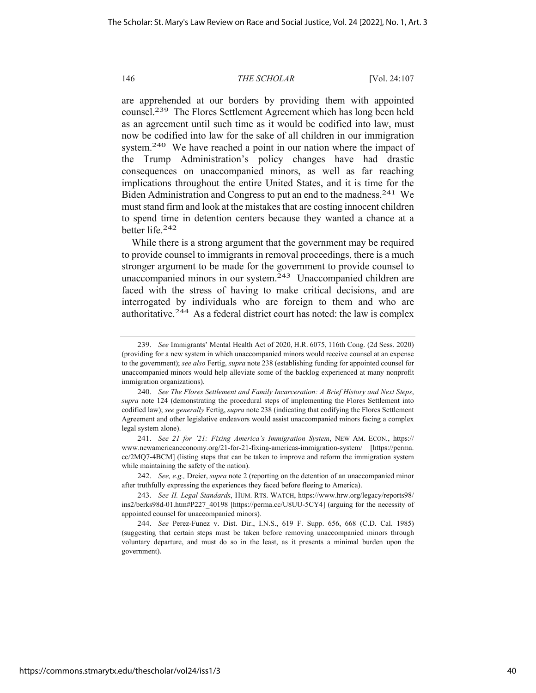are apprehended at our borders by providing them with appointed counsel.239 The Flores Settlement Agreement which has long been held as an agreement until such time as it would be codified into law, must now be codified into law for the sake of all children in our immigration system.<sup>240</sup> We have reached a point in our nation where the impact of the Trump Administration's policy changes have had drastic consequences on unaccompanied minors, as well as far reaching implications throughout the entire United States, and it is time for the Biden Administration and Congress to put an end to the madness.<sup>241</sup> We must stand firm and look at the mistakes that are costing innocent children to spend time in detention centers because they wanted a chance at a better life.242

While there is a strong argument that the government may be required to provide counsel to immigrants in removal proceedings, there is a much stronger argument to be made for the government to provide counsel to unaccompanied minors in our system.243 Unaccompanied children are faced with the stress of having to make critical decisions, and are interrogated by individuals who are foreign to them and who are authoritative.244 As a federal district court has noted: the law is complex

<sup>239.</sup> *See* Immigrants' Mental Health Act of 2020, H.R. 6075, 116th Cong. (2d Sess. 2020) (providing for a new system in which unaccompanied minors would receive counsel at an expense to the government); *see also* Fertig, *supra* note 238 (establishing funding for appointed counsel for unaccompanied minors would help alleviate some of the backlog experienced at many nonprofit immigration organizations).

<sup>240.</sup> *See The Flores Settlement and Family Incarceration: A Brief History and Next Steps*, *supra* note 124 (demonstrating the procedural steps of implementing the Flores Settlement into codified law); *see generally* Fertig, *supra* note 238 (indicating that codifying the Flores Settlement Agreement and other legislative endeavors would assist unaccompanied minors facing a complex legal system alone).

<sup>241.</sup> *See 21 for '21: Fixing America's Immigration System*, NEW AM. ECON., https:// www.newamericaneconomy.org/21-for-21-fixing-americas-immigration-system/ [https://perma. cc/2MQ7-4BCM] (listing steps that can be taken to improve and reform the immigration system while maintaining the safety of the nation).

<sup>242.</sup> *See, e.g.,* Dreier, *supra* note 2 (reporting on the detention of an unaccompanied minor after truthfully expressing the experiences they faced before fleeing to America).

<sup>243.</sup> *See II. Legal Standards*, HUM. RTS. WATCH, https://www.hrw.org/legacy/reports98/ ins2/berks98d-01.htm#P227\_40198 [https://perma.cc/U8UU-5CY4] (arguing for the necessity of appointed counsel for unaccompanied minors).

<sup>244.</sup> *See* Perez-Funez v. Dist. Dir., I.N.S., 619 F. Supp. 656, 668 (C.D. Cal. 1985) (suggesting that certain steps must be taken before removing unaccompanied minors through voluntary departure, and must do so in the least, as it presents a minimal burden upon the government).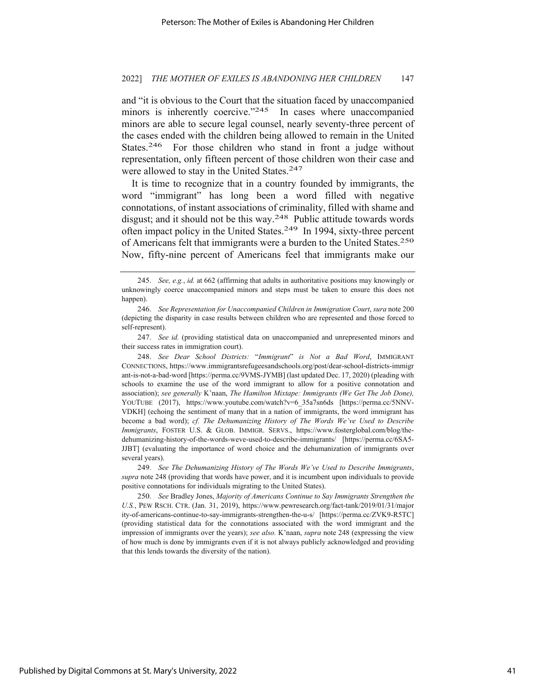#### 2022] *THE MOTHER OF EXILES IS ABANDONING HER CHILDREN* 147

and "it is obvious to the Court that the situation faced by unaccompanied minors is inherently coercive."<sup>245</sup> In cases where unaccompanied minors are able to secure legal counsel, nearly seventy-three percent of the cases ended with the children being allowed to remain in the United States.<sup>246</sup> For those children who stand in front a judge without representation, only fifteen percent of those children won their case and were allowed to stay in the United States.<sup>247</sup>

It is time to recognize that in a country founded by immigrants, the word "immigrant" has long been a word filled with negative connotations, of instant associations of criminality, filled with shame and disgust; and it should not be this way.<sup>248</sup> Public attitude towards words often impact policy in the United States.249 In 1994, sixty-three percent of Americans felt that immigrants were a burden to the United States.250 Now, fifty-nine percent of Americans feel that immigrants make our

248. *See Dear School Districts:* "*Immigrant*" *is Not a Bad Word*, IMMIGRANT CONNECTIONS, https://www.immigrantsrefugeesandschools.org/post/dear-school-districts-immigr ant-is-not-a-bad-word [https://perma.cc/9VMS-JYMB] (last updated Dec. 17, 2020) (pleading with schools to examine the use of the word immigrant to allow for a positive connotation and association); *see generally* K'naan, *The Hamilton Mixtape: Immigrants (We Get The Job Done),* YOUTUBE (2017), https://www.youtube.com/watch?v=6\_35a7sn6ds [https://perma.cc/5NNV-VDKH] (echoing the sentiment of many that in a nation of immigrants, the word immigrant has become a bad word); *cf. The Dehumanizing History of The Words We've Used to Describe Immigrants*, FOSTER U.S. & GLOB. IMMIGR. SERVS., https://www.fosterglobal.com/blog/thedehumanizing-history-of-the-words-weve-used-to-describe-immigrants/ [https://perma.cc/6SA5- JJBT] (evaluating the importance of word choice and the dehumanization of immigrants over several years).

249. *See The Dehumanizing History of The Words We've Used to Describe Immigrants*, *supra* note 248 (providing that words have power, and it is incumbent upon individuals to provide positive connotations for individuals migrating to the United States).

250. *See* Bradley Jones, *Majority of Americans Continue to Say Immigrants Strengthen the U.S.*, PEW RSCH. CTR. (Jan. 31, 2019), https://www.pewresearch.org/fact-tank/2019/01/31/major ity-of-americans-continue-to-say-immigrants-strengthen-the-u-s/ [https://perma.cc/ZVK9-R5TC] (providing statistical data for the connotations associated with the word immigrant and the impression of immigrants over the years); *see also.* K'naan, *supra* note 248 (expressing the view of how much is done by immigrants even if it is not always publicly acknowledged and providing that this lends towards the diversity of the nation).

<sup>245.</sup> *See, e.g.*, *id.* at 662 (affirming that adults in authoritative positions may knowingly or unknowingly coerce unaccompanied minors and steps must be taken to ensure this does not happen).

<sup>246.</sup> *See Representation for Unaccompanied Children in Immigration Court*, *sura* note 200 (depicting the disparity in case results between children who are represented and those forced to self-represent).

<sup>247.</sup> *See id.* (providing statistical data on unaccompanied and unrepresented minors and their success rates in immigration court).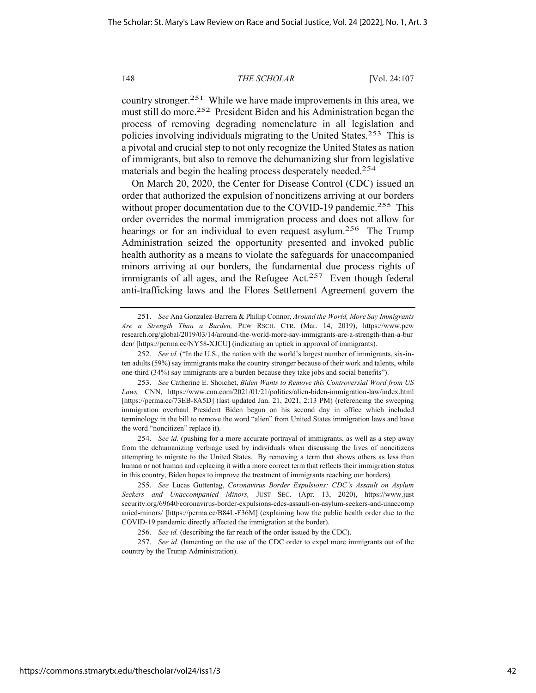country stronger.251 While we have made improvements in this area, we must still do more.252 President Biden and his Administration began the process of removing degrading nomenclature in all legislation and policies involving individuals migrating to the United States.253 This is a pivotal and crucial step to not only recognize the United States as nation of immigrants, but also to remove the dehumanizing slur from legislative materials and begin the healing process desperately needed.<sup>254</sup>

On March 20, 2020, the Center for Disease Control (CDC) issued an order that authorized the expulsion of noncitizens arriving at our borders without proper documentation due to the COVID-19 pandemic.<sup>255</sup> This order overrides the normal immigration process and does not allow for hearings or for an individual to even request asylum.<sup>256</sup> The Trump Administration seized the opportunity presented and invoked public health authority as a means to violate the safeguards for unaccompanied minors arriving at our borders, the fundamental due process rights of immigrants of all ages, and the Refugee Act. $257$  Even though federal anti-trafficking laws and the Flores Settlement Agreement govern the

<sup>251.</sup> *See* Ana Gonzalez-Barrera & Phillip Connor, *Around the World, More Say Immigrants Are a Strength Than a Burden,* PEW RSCH. CTR. (Mar. 14, 2019), https://www.pew research.org/global/2019/03/14/around-the-world-more-say-immigrants-are-a-strength-than-a-bur den/ [https://perma.cc/NY58-XJCU] (indicating an uptick in approval of immigrants).

<sup>252.</sup> *See id.* ("In the U.S., the nation with the world's largest number of immigrants, six-inten adults (59%) say immigrants make the country stronger because of their work and talents, while one-third (34%) say immigrants are a burden because they take jobs and social benefits").

<sup>253.</sup> *See* Catherine E. Shoichet, *Biden Wants to Remove this Controversial Word from US Laws,* CNN, https://www.cnn.com/2021/01/21/politics/alien-biden-immigration-law/index.html [https://perma.cc/73EB-8A5D] (last updated Jan. 21, 2021, 2:13 PM) (referencing the sweeping immigration overhaul President Biden begun on his second day in office which included terminology in the bill to remove the word "alien" from United States immigration laws and have the word "noncitizen" replace it).

<sup>254.</sup> *See id.* (pushing for a more accurate portrayal of immigrants, as well as a step away from the dehumanizing verbiage used by individuals when discussing the lives of noncitizens attempting to migrate to the United States. By removing a term that shows others as less than human or not human and replacing it with a more correct term that reflects their immigration status in this country, Biden hopes to improve the treatment of immigrants reaching our borders).

<sup>255.</sup> *See* Lucas Guttentag, *Coronavirus Border Expulsions: CDC's Assault on Asylum Seekers and Unaccompanied Minors,* JUST SEC. (Apr. 13, 2020), https://www.just security.org/69640/coronavirus-border-expulsions-cdcs-assault-on-asylum-seekers-and-unaccomp anied-minors/ [https://perma.cc/B84L-F36M] (explaining how the public health order due to the COVID-19 pandemic directly affected the immigration at the border).

<sup>256.</sup> *See id.* (describing the far reach of the order issued by the CDC).

<sup>257.</sup> *See id.* (lamenting on the use of the CDC order to expel more immigrants out of the country by the Trump Administration).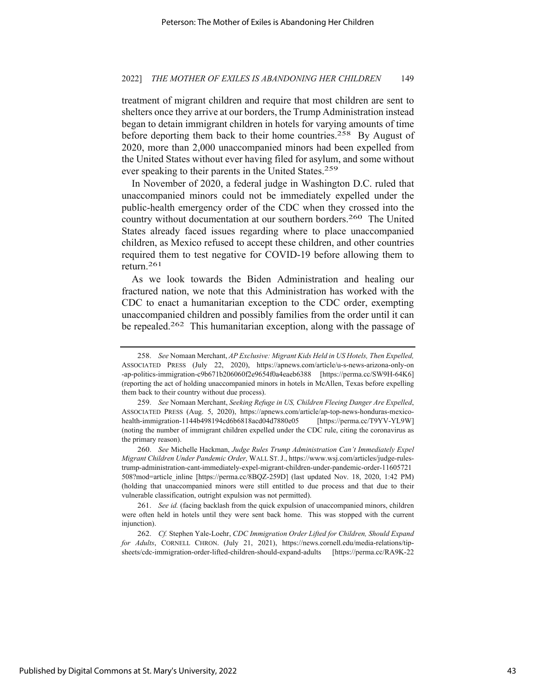treatment of migrant children and require that most children are sent to shelters once they arrive at our borders, the Trump Administration instead began to detain immigrant children in hotels for varying amounts of time before deporting them back to their home countries.<sup>258</sup> By August of 2020, more than 2,000 unaccompanied minors had been expelled from the United States without ever having filed for asylum, and some without ever speaking to their parents in the United States.<sup>259</sup>

In November of 2020, a federal judge in Washington D.C. ruled that unaccompanied minors could not be immediately expelled under the public-health emergency order of the CDC when they crossed into the country without documentation at our southern borders.260 The United States already faced issues regarding where to place unaccompanied children, as Mexico refused to accept these children, and other countries required them to test negative for COVID-19 before allowing them to return.261

As we look towards the Biden Administration and healing our fractured nation, we note that this Administration has worked with the CDC to enact a humanitarian exception to the CDC order, exempting unaccompanied children and possibly families from the order until it can be repealed.<sup>262</sup> This humanitarian exception, along with the passage of

<sup>258.</sup> *See* Nomaan Merchant, *AP Exclusive: Migrant Kids Held in US Hotels, Then Expelled,* ASSOCIATED PRESS (July 22, 2020), https://apnews.com/article/u-s-news-arizona-only-on -ap-politics-immigration-c9b671b206060f2e9654f0a4eaeb6388 [https://perma.cc/SW9H-64K6] (reporting the act of holding unaccompanied minors in hotels in McAllen, Texas before expelling them back to their country without due process).

<sup>259.</sup> *See* Nomaan Merchant, *Seeking Refuge in US, Children Fleeing Danger Are Expelled*, ASSOCIATED PRESS (Aug. 5, 2020), https://apnews.com/article/ap-top-news-honduras-mexicohealth-immigration-1144b498194cd6b6818acd04d7880e05 [https://perma.cc/T9YV-YL9W] (noting the number of immigrant children expelled under the CDC rule, citing the coronavirus as the primary reason).

<sup>260.</sup> *See* Michelle Hackman, *Judge Rules Trump Administration Can't Immediately Expel Migrant Children Under Pandemic Order,* WALL ST.J., https://www.wsj.com/articles/judge-rulestrump-administration-cant-immediately-expel-migrant-children-under-pandemic-order-11605721 508?mod=article\_inline [https://perma.cc/8BQZ-259D] (last updated Nov. 18, 2020, 1:42 PM) (holding that unaccompanied minors were still entitled to due process and that due to their vulnerable classification, outright expulsion was not permitted).

<sup>261.</sup> *See id.* (facing backlash from the quick expulsion of unaccompanied minors, children were often held in hotels until they were sent back home. This was stopped with the current injunction).

<sup>262.</sup> *Cf.* Stephen Yale-Loehr, *CDC Immigration Order Lifted for Children, Should Expand for Adults*, CORNELL CHRON. (July 21, 2021), https://news.cornell.edu/media-relations/tipsheets/cdc-immigration-order-lifted-children-should-expand-adults [https://perma.cc/RA9K-22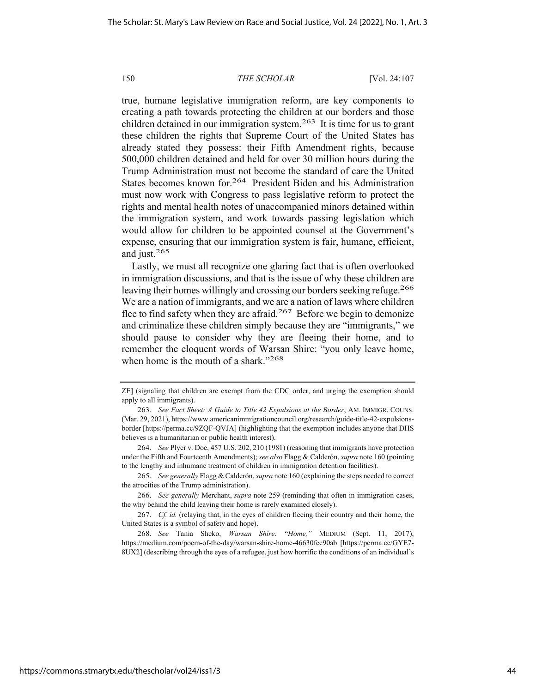true, humane legislative immigration reform, are key components to creating a path towards protecting the children at our borders and those children detained in our immigration system.<sup>263</sup> It is time for us to grant these children the rights that Supreme Court of the United States has already stated they possess: their Fifth Amendment rights, because 500,000 children detained and held for over 30 million hours during the Trump Administration must not become the standard of care the United States becomes known for.264 President Biden and his Administration must now work with Congress to pass legislative reform to protect the rights and mental health notes of unaccompanied minors detained within the immigration system, and work towards passing legislation which would allow for children to be appointed counsel at the Government's expense, ensuring that our immigration system is fair, humane, efficient, and just.265

Lastly, we must all recognize one glaring fact that is often overlooked in immigration discussions, and that is the issue of why these children are leaving their homes willingly and crossing our borders seeking refuge.<sup>266</sup> We are a nation of immigrants, and we are a nation of laws where children flee to find safety when they are afraid.<sup>267</sup> Before we begin to demonize and criminalize these children simply because they are "immigrants," we should pause to consider why they are fleeing their home, and to remember the eloquent words of Warsan Shire: "you only leave home, when home is the mouth of a shark."268

265. *See generally* Flagg & Calderón, *supra* note 160 (explaining the steps needed to correct the atrocities of the Trump administration).

ZE] (signaling that children are exempt from the CDC order, and urging the exemption should apply to all immigrants).

<sup>263.</sup> *See Fact Sheet: A Guide to Title 42 Expulsions at the Border*, AM. IMMIGR. COUNS. (Mar. 29, 2021), https://www.americanimmigrationcouncil.org/research/guide-title-42-expulsionsborder [https://perma.cc/9ZQF-QVJA] (highlighting that the exemption includes anyone that DHS believes is a humanitarian or public health interest).

<sup>264.</sup> *See* Plyer v. Doe, 457 U.S. 202, 210 (1981) (reasoning that immigrants have protection under the Fifth and Fourteenth Amendments); *see also* Flagg & Calderón, *supra* note 160 (pointing to the lengthy and inhumane treatment of children in immigration detention facilities).

<sup>266.</sup> *See generally* Merchant, *supra* note 259 (reminding that often in immigration cases, the why behind the child leaving their home is rarely examined closely).

<sup>267.</sup> *Cf. id.* (relaying that, in the eyes of children fleeing their country and their home, the United States is a symbol of safety and hope).

<sup>268.</sup> *See* Tania Sheko, *Warsan Shire:* "*Home,"* MEDIUM (Sept. 11, 2017), https://medium.com/poem-of-the-day/warsan-shire-home-46630fcc90ab [https://perma.cc/GYE7- 8UX2] (describing through the eyes of a refugee, just how horrific the conditions of an individual's